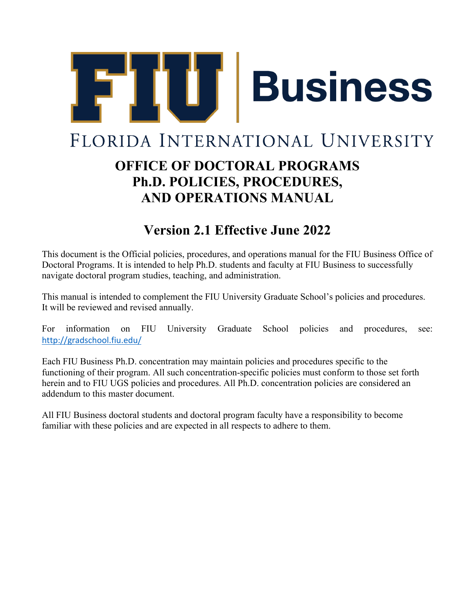

# **Version 2.1 Effective June 2022**

This document is the Official policies, procedures, and operations manual for the FIU Business Office of Doctoral Programs. It is intended to help Ph.D. students and faculty at FIU Business to successfully navigate doctoral program studies, teaching, and administration.

This manual is intended to complement the FIU University Graduate School's policies and procedures. It will be reviewed and revised annually.

For information on FIU University Graduate School policies and procedures, see: http://gradschool.fiu.edu/

Each FIU Business Ph.D. concentration may maintain policies and procedures specific to the functioning of their program. All such concentration-specific policies must conform to those set forth herein and to FIU UGS policies and procedures. All Ph.D. concentration policies are considered an addendum to this master document.

All FIU Business doctoral students and doctoral program faculty have a responsibility to become familiar with these policies and are expected in all respects to adhere to them.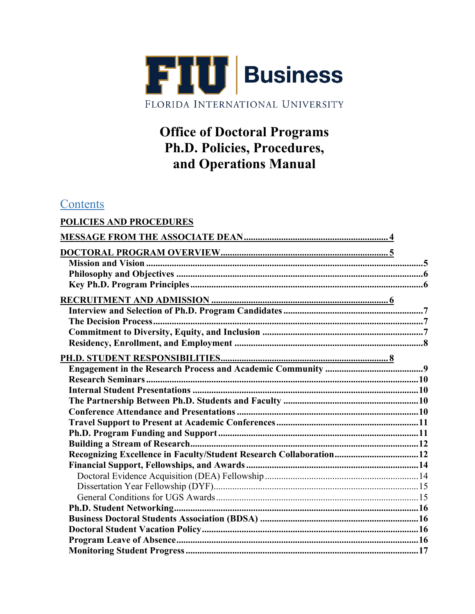

# **Office of Doctoral Programs** Ph.D. Policies, Procedures, and Operations Manual

# Contents

| <b>POLICIES AND PROCEDURES</b>                                     |  |
|--------------------------------------------------------------------|--|
|                                                                    |  |
|                                                                    |  |
|                                                                    |  |
|                                                                    |  |
|                                                                    |  |
|                                                                    |  |
|                                                                    |  |
|                                                                    |  |
|                                                                    |  |
|                                                                    |  |
|                                                                    |  |
|                                                                    |  |
|                                                                    |  |
|                                                                    |  |
|                                                                    |  |
|                                                                    |  |
|                                                                    |  |
|                                                                    |  |
|                                                                    |  |
| Recognizing Excellence in Faculty/Student Research Collaboration12 |  |
|                                                                    |  |
|                                                                    |  |
|                                                                    |  |
|                                                                    |  |
|                                                                    |  |
|                                                                    |  |
|                                                                    |  |
|                                                                    |  |
|                                                                    |  |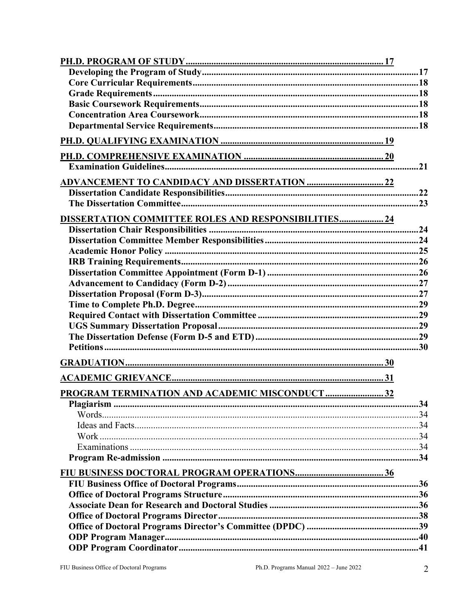| DISSERTATION COMMITTEE ROLES AND RESPONSIBILITIES24 |  |
|-----------------------------------------------------|--|
|                                                     |  |
|                                                     |  |
|                                                     |  |
|                                                     |  |
|                                                     |  |
|                                                     |  |
|                                                     |  |
|                                                     |  |
|                                                     |  |
|                                                     |  |
|                                                     |  |
|                                                     |  |
|                                                     |  |
| PROGRAM TERMINATION AND ACADEMIC MISCONDUCT 32      |  |
|                                                     |  |
|                                                     |  |
|                                                     |  |
|                                                     |  |
|                                                     |  |
|                                                     |  |
|                                                     |  |
|                                                     |  |
|                                                     |  |
|                                                     |  |
|                                                     |  |
|                                                     |  |
|                                                     |  |
|                                                     |  |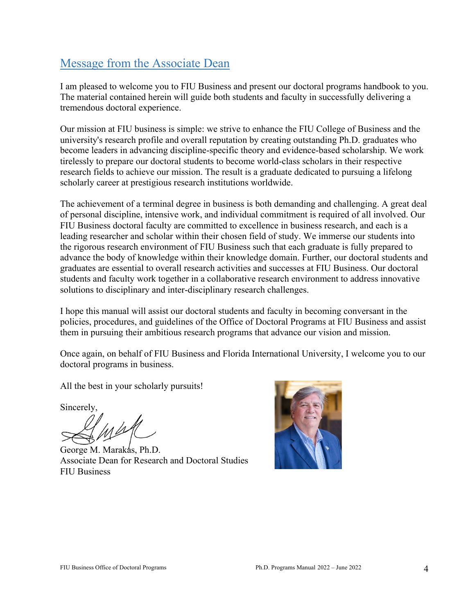# Message from the Associate Dean

I am pleased to welcome you to FIU Business and present our doctoral programs handbook to you. The material contained herein will guide both students and faculty in successfully delivering a tremendous doctoral experience.

Our mission at FIU business is simple: we strive to enhance the FIU College of Business and the university's research profile and overall reputation by creating outstanding Ph.D. graduates who become leaders in advancing discipline-specific theory and evidence-based scholarship. We work tirelessly to prepare our doctoral students to become world-class scholars in their respective research fields to achieve our mission. The result is a graduate dedicated to pursuing a lifelong scholarly career at prestigious research institutions worldwide.

The achievement of a terminal degree in business is both demanding and challenging. A great deal of personal discipline, intensive work, and individual commitment is required of all involved. Our FIU Business doctoral faculty are committed to excellence in business research, and each is a leading researcher and scholar within their chosen field of study. We immerse our students into the rigorous research environment of FIU Business such that each graduate is fully prepared to advance the body of knowledge within their knowledge domain. Further, our doctoral students and graduates are essential to overall research activities and successes at FIU Business. Our doctoral students and faculty work together in a collaborative research environment to address innovative solutions to disciplinary and inter-disciplinary research challenges.

I hope this manual will assist our doctoral students and faculty in becoming conversant in the policies, procedures, and guidelines of the Office of Doctoral Programs at FIU Business and assist them in pursuing their ambitious research programs that advance our vision and mission.

Once again, on behalf of FIU Business and Florida International University, I welcome you to our doctoral programs in business.

All the best in your scholarly pursuits!

Sincerely,

George M. Marakas, Ph.D. Associate Dean for Research and Doctoral Studies FIU Business

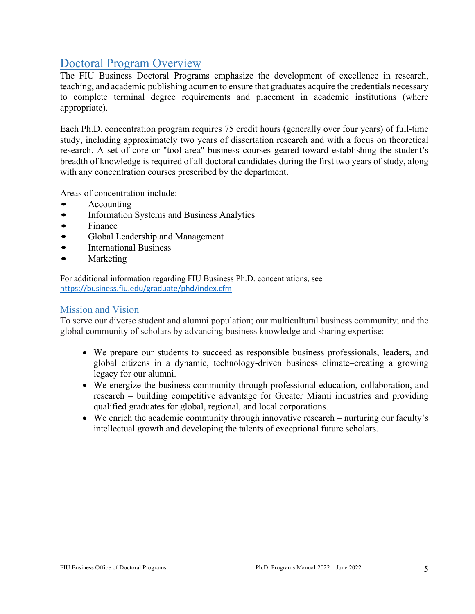# Doctoral Program Overview

The FIU Business Doctoral Programs emphasize the development of excellence in research, teaching, and academic publishing acumen to ensure that graduates acquire the credentials necessary to complete terminal degree requirements and placement in academic institutions (where appropriate).

Each Ph.D. concentration program requires 75 credit hours (generally over four years) of full-time study, including approximately two years of dissertation research and with a focus on theoretical research. A set of core or "tool area" business courses geared toward establishing the student's breadth of knowledge is required of all doctoral candidates during the first two years of study, along with any concentration courses prescribed by the department.

Areas of concentration include:

- Accounting
- Information Systems and Business Analytics
- **Finance**
- Global Leadership and Management
- International Business
- **Marketing**

For additional information regarding FIU Business Ph.D. concentrations, see https://business.fiu.edu/graduate/phd/index.cfm

### Mission and Vision

To serve our diverse student and alumni population; our multicultural business community; and the global community of scholars by advancing business knowledge and sharing expertise:

- We prepare our students to succeed as responsible business professionals, leaders, and global citizens in a dynamic, technology-driven business climate–creating a growing legacy for our alumni.
- We energize the business community through professional education, collaboration, and research – building competitive advantage for Greater Miami industries and providing qualified graduates for global, regional, and local corporations.
- We enrich the academic community through innovative research nurturing our faculty's intellectual growth and developing the talents of exceptional future scholars.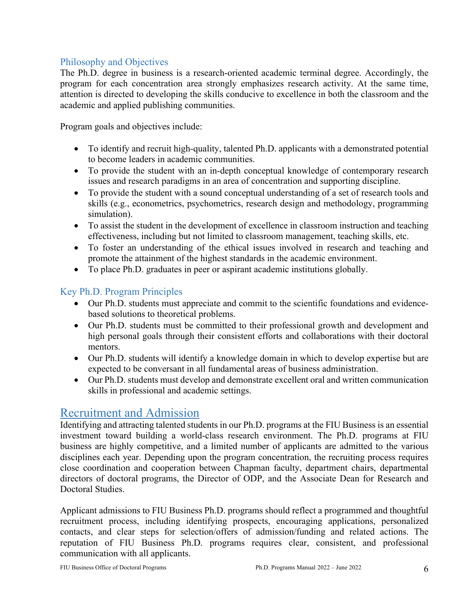## Philosophy and Objectives

The Ph.D. degree in business is a research-oriented academic terminal degree. Accordingly, the program for each concentration area strongly emphasizes research activity. At the same time, attention is directed to developing the skills conducive to excellence in both the classroom and the academic and applied publishing communities.

Program goals and objectives include:

- To identify and recruit high-quality, talented Ph.D. applicants with a demonstrated potential to become leaders in academic communities.
- To provide the student with an in-depth conceptual knowledge of contemporary research issues and research paradigms in an area of concentration and supporting discipline.
- To provide the student with a sound conceptual understanding of a set of research tools and skills (e.g., econometrics, psychometrics, research design and methodology, programming simulation).
- To assist the student in the development of excellence in classroom instruction and teaching effectiveness, including but not limited to classroom management, teaching skills, etc.
- To foster an understanding of the ethical issues involved in research and teaching and promote the attainment of the highest standards in the academic environment.
- To place Ph.D. graduates in peer or aspirant academic institutions globally.

## Key Ph.D. Program Principles

- Our Ph.D. students must appreciate and commit to the scientific foundations and evidencebased solutions to theoretical problems.
- Our Ph.D. students must be committed to their professional growth and development and high personal goals through their consistent efforts and collaborations with their doctoral mentors.
- Our Ph.D. students will identify a knowledge domain in which to develop expertise but are expected to be conversant in all fundamental areas of business administration.
- Our Ph.D. students must develop and demonstrate excellent oral and written communication skills in professional and academic settings.

# Recruitment and Admission

Identifying and attracting talented students in our Ph.D. programs at the FIU Business is an essential investment toward building a world-class research environment. The Ph.D. programs at FIU business are highly competitive, and a limited number of applicants are admitted to the various disciplines each year. Depending upon the program concentration, the recruiting process requires close coordination and cooperation between Chapman faculty, department chairs, departmental directors of doctoral programs, the Director of ODP, and the Associate Dean for Research and Doctoral Studies.

Applicant admissions to FIU Business Ph.D. programs should reflect a programmed and thoughtful recruitment process, including identifying prospects, encouraging applications, personalized contacts, and clear steps for selection/offers of admission/funding and related actions. The reputation of FIU Business Ph.D. programs requires clear, consistent, and professional communication with all applicants.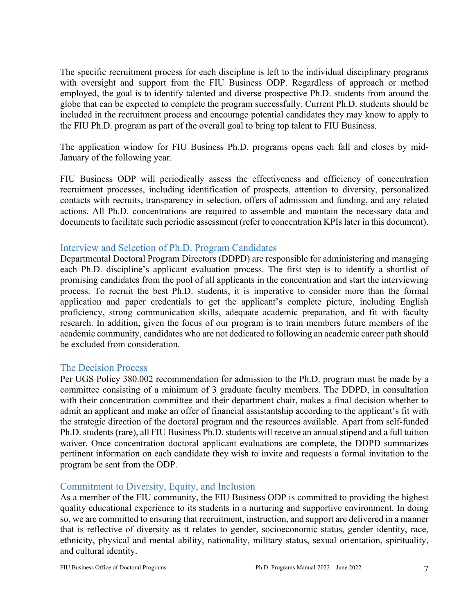The specific recruitment process for each discipline is left to the individual disciplinary programs with oversight and support from the FIU Business ODP. Regardless of approach or method employed, the goal is to identify talented and diverse prospective Ph.D. students from around the globe that can be expected to complete the program successfully. Current Ph.D. students should be included in the recruitment process and encourage potential candidates they may know to apply to the FIU Ph.D. program as part of the overall goal to bring top talent to FIU Business.

The application window for FIU Business Ph.D. programs opens each fall and closes by mid-January of the following year.

FIU Business ODP will periodically assess the effectiveness and efficiency of concentration recruitment processes, including identification of prospects, attention to diversity, personalized contacts with recruits, transparency in selection, offers of admission and funding, and any related actions. All Ph.D. concentrations are required to assemble and maintain the necessary data and documents to facilitate such periodic assessment (refer to concentration KPIs later in this document).

#### Interview and Selection of Ph.D. Program Candidates

Departmental Doctoral Program Directors (DDPD) are responsible for administering and managing each Ph.D. discipline's applicant evaluation process. The first step is to identify a shortlist of promising candidates from the pool of all applicants in the concentration and start the interviewing process. To recruit the best Ph.D. students, it is imperative to consider more than the formal application and paper credentials to get the applicant's complete picture, including English proficiency, strong communication skills, adequate academic preparation, and fit with faculty research. In addition, given the focus of our program is to train members future members of the academic community, candidates who are not dedicated to following an academic career path should be excluded from consideration.

### The Decision Process

Per UGS Policy 380.002 recommendation for admission to the Ph.D. program must be made by a committee consisting of a minimum of 3 graduate faculty members. The DDPD, in consultation with their concentration committee and their department chair, makes a final decision whether to admit an applicant and make an offer of financial assistantship according to the applicant's fit with the strategic direction of the doctoral program and the resources available. Apart from self-funded Ph.D. students (rare), all FIU Business Ph.D. students will receive an annual stipend and a full tuition waiver. Once concentration doctoral applicant evaluations are complete, the DDPD summarizes pertinent information on each candidate they wish to invite and requests a formal invitation to the program be sent from the ODP.

### Commitment to Diversity, Equity, and Inclusion

As a member of the FIU community, the FIU Business ODP is committed to providing the highest quality educational experience to its students in a nurturing and supportive environment. In doing so, we are committed to ensuring that recruitment, instruction, and support are delivered in a manner that is reflective of diversity as it relates to gender, socioeconomic status, gender identity, race, ethnicity, physical and mental ability, nationality, military status, sexual orientation, spirituality, and cultural identity.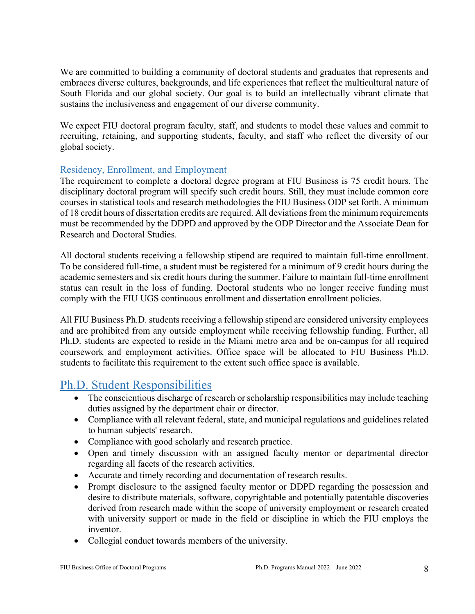We are committed to building a community of doctoral students and graduates that represents and embraces diverse cultures, backgrounds, and life experiences that reflect the multicultural nature of South Florida and our global society. Our goal is to build an intellectually vibrant climate that sustains the inclusiveness and engagement of our diverse community.

We expect FIU doctoral program faculty, staff, and students to model these values and commit to recruiting, retaining, and supporting students, faculty, and staff who reflect the diversity of our global society.

## Residency, Enrollment, and Employment

The requirement to complete a doctoral degree program at FIU Business is 75 credit hours. The disciplinary doctoral program will specify such credit hours. Still, they must include common core courses in statistical tools and research methodologies the FIU Business ODP set forth. A minimum of 18 credit hours of dissertation credits are required. All deviations from the minimum requirements must be recommended by the DDPD and approved by the ODP Director and the Associate Dean for Research and Doctoral Studies.

All doctoral students receiving a fellowship stipend are required to maintain full-time enrollment. To be considered full-time, a student must be registered for a minimum of 9 credit hours during the academic semesters and six credit hours during the summer. Failure to maintain full-time enrollment status can result in the loss of funding. Doctoral students who no longer receive funding must comply with the FIU UGS continuous enrollment and dissertation enrollment policies.

All FIU Business Ph.D. students receiving a fellowship stipend are considered university employees and are prohibited from any outside employment while receiving fellowship funding. Further, all Ph.D. students are expected to reside in the Miami metro area and be on-campus for all required coursework and employment activities. Office space will be allocated to FIU Business Ph.D. students to facilitate this requirement to the extent such office space is available.

# Ph.D. Student Responsibilities

- The conscientious discharge of research or scholarship responsibilities may include teaching duties assigned by the department chair or director.
- Compliance with all relevant federal, state, and municipal regulations and guidelines related to human subjects' research.
- Compliance with good scholarly and research practice.
- Open and timely discussion with an assigned faculty mentor or departmental director regarding all facets of the research activities.
- Accurate and timely recording and documentation of research results.
- Prompt disclosure to the assigned faculty mentor or DDPD regarding the possession and desire to distribute materials, software, copyrightable and potentially patentable discoveries derived from research made within the scope of university employment or research created with university support or made in the field or discipline in which the FIU employs the inventor.
- Collegial conduct towards members of the university.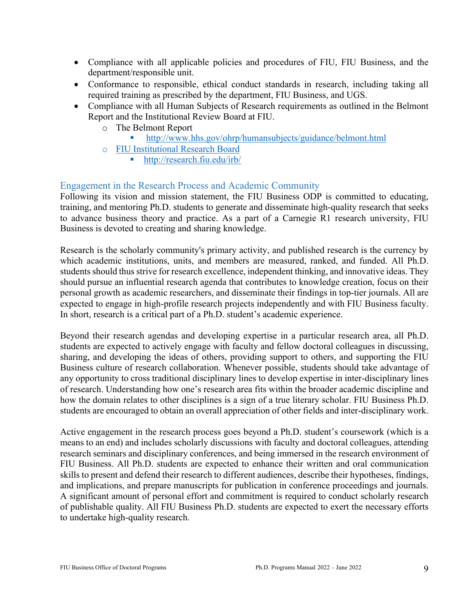- Compliance with all applicable policies and procedures of FIU, FIU Business, and the department/responsible unit.
- Conformance to responsible, ethical conduct standards in research, including taking all required training as prescribed by the department, FIU Business, and UGS.
- Compliance with all Human Subjects of Research requirements as outlined in the Belmont Report and the Institutional Review Board at FIU.
	- o The Belmont Report
		- § http://www.hhs.gov/ohrp/humansubjects/guidance/belmont.html
	- o FIU Institutional Research Board
		- http://research.fiu.edu/irb/

### Engagement in the Research Process and Academic Community

Following its vision and mission statement, the FIU Business ODP is committed to educating, training, and mentoring Ph.D. students to generate and disseminate high-quality research that seeks to advance business theory and practice. As a part of a Carnegie R1 research university, FIU Business is devoted to creating and sharing knowledge.

Research is the scholarly community's primary activity, and published research is the currency by which academic institutions, units, and members are measured, ranked, and funded. All Ph.D. students should thus strive for research excellence, independent thinking, and innovative ideas. They should pursue an influential research agenda that contributes to knowledge creation, focus on their personal growth as academic researchers, and disseminate their findings in top-tier journals. All are expected to engage in high-profile research projects independently and with FIU Business faculty. In short, research is a critical part of a Ph.D. student's academic experience.

Beyond their research agendas and developing expertise in a particular research area, all Ph.D. students are expected to actively engage with faculty and fellow doctoral colleagues in discussing, sharing, and developing the ideas of others, providing support to others, and supporting the FIU Business culture of research collaboration. Whenever possible, students should take advantage of any opportunity to cross traditional disciplinary lines to develop expertise in inter-disciplinary lines of research. Understanding how one's research area fits within the broader academic discipline and how the domain relates to other disciplines is a sign of a true literary scholar. FIU Business Ph.D. students are encouraged to obtain an overall appreciation of other fields and inter-disciplinary work.

Active engagement in the research process goes beyond a Ph.D. student's coursework (which is a means to an end) and includes scholarly discussions with faculty and doctoral colleagues, attending research seminars and disciplinary conferences, and being immersed in the research environment of FIU Business. All Ph.D. students are expected to enhance their written and oral communication skills to present and defend their research to different audiences, describe their hypotheses, findings, and implications, and prepare manuscripts for publication in conference proceedings and journals. A significant amount of personal effort and commitment is required to conduct scholarly research of publishable quality. All FIU Business Ph.D. students are expected to exert the necessary efforts to undertake high-quality research.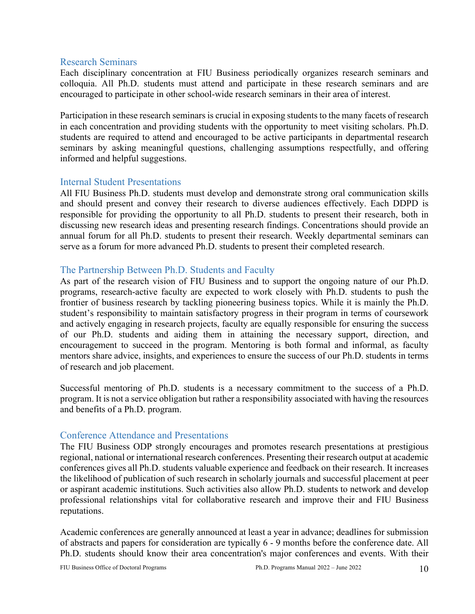#### Research Seminars

Each disciplinary concentration at FIU Business periodically organizes research seminars and colloquia. All Ph.D. students must attend and participate in these research seminars and are encouraged to participate in other school-wide research seminars in their area of interest.

Participation in these research seminars is crucial in exposing students to the many facets of research in each concentration and providing students with the opportunity to meet visiting scholars. Ph.D. students are required to attend and encouraged to be active participants in departmental research seminars by asking meaningful questions, challenging assumptions respectfully, and offering informed and helpful suggestions.

#### Internal Student Presentations

All FIU Business Ph.D. students must develop and demonstrate strong oral communication skills and should present and convey their research to diverse audiences effectively. Each DDPD is responsible for providing the opportunity to all Ph.D. students to present their research, both in discussing new research ideas and presenting research findings. Concentrations should provide an annual forum for all Ph.D. students to present their research. Weekly departmental seminars can serve as a forum for more advanced Ph.D. students to present their completed research.

### The Partnership Between Ph.D. Students and Faculty

As part of the research vision of FIU Business and to support the ongoing nature of our Ph.D. programs, research-active faculty are expected to work closely with Ph.D. students to push the frontier of business research by tackling pioneering business topics. While it is mainly the Ph.D. student's responsibility to maintain satisfactory progress in their program in terms of coursework and actively engaging in research projects, faculty are equally responsible for ensuring the success of our Ph.D. students and aiding them in attaining the necessary support, direction, and encouragement to succeed in the program. Mentoring is both formal and informal, as faculty mentors share advice, insights, and experiences to ensure the success of our Ph.D. students in terms of research and job placement.

Successful mentoring of Ph.D. students is a necessary commitment to the success of a Ph.D. program. It is not a service obligation but rather a responsibility associated with having the resources and benefits of a Ph.D. program.

### Conference Attendance and Presentations

The FIU Business ODP strongly encourages and promotes research presentations at prestigious regional, national or international research conferences. Presenting their research output at academic conferences gives all Ph.D. students valuable experience and feedback on their research. It increases the likelihood of publication of such research in scholarly journals and successful placement at peer or aspirant academic institutions. Such activities also allow Ph.D. students to network and develop professional relationships vital for collaborative research and improve their and FIU Business reputations.

Academic conferences are generally announced at least a year in advance; deadlines for submission of abstracts and papers for consideration are typically 6 - 9 months before the conference date. All Ph.D. students should know their area concentration's major conferences and events. With their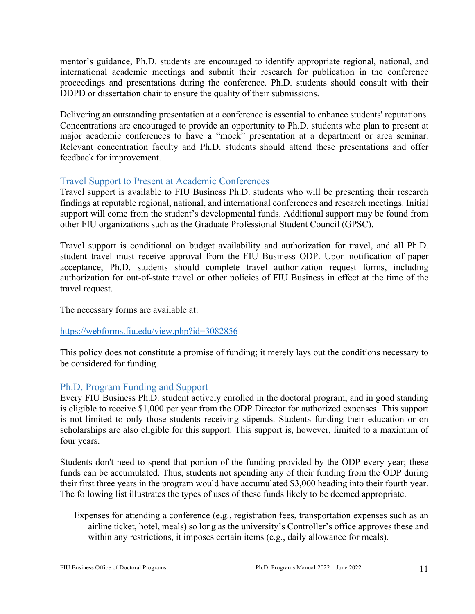mentor's guidance, Ph.D. students are encouraged to identify appropriate regional, national, and international academic meetings and submit their research for publication in the conference proceedings and presentations during the conference. Ph.D. students should consult with their DDPD or dissertation chair to ensure the quality of their submissions.

Delivering an outstanding presentation at a conference is essential to enhance students' reputations. Concentrations are encouraged to provide an opportunity to Ph.D. students who plan to present at major academic conferences to have a "mock" presentation at a department or area seminar. Relevant concentration faculty and Ph.D. students should attend these presentations and offer feedback for improvement.

### Travel Support to Present at Academic Conferences

Travel support is available to FIU Business Ph.D. students who will be presenting their research findings at reputable regional, national, and international conferences and research meetings. Initial support will come from the student's developmental funds. Additional support may be found from other FIU organizations such as the Graduate Professional Student Council (GPSC).

Travel support is conditional on budget availability and authorization for travel, and all Ph.D. student travel must receive approval from the FIU Business ODP. Upon notification of paper acceptance, Ph.D. students should complete travel authorization request forms, including authorization for out-of-state travel or other policies of FIU Business in effect at the time of the travel request.

The necessary forms are available at:

### https://webforms.fiu.edu/view.php?id=3082856

This policy does not constitute a promise of funding; it merely lays out the conditions necessary to be considered for funding.

### Ph.D. Program Funding and Support

Every FIU Business Ph.D. student actively enrolled in the doctoral program, and in good standing is eligible to receive \$1,000 per year from the ODP Director for authorized expenses. This support is not limited to only those students receiving stipends. Students funding their education or on scholarships are also eligible for this support. This support is, however, limited to a maximum of four years.

Students don't need to spend that portion of the funding provided by the ODP every year; these funds can be accumulated. Thus, students not spending any of their funding from the ODP during their first three years in the program would have accumulated \$3,000 heading into their fourth year. The following list illustrates the types of uses of these funds likely to be deemed appropriate.

Expenses for attending a conference (e.g., registration fees, transportation expenses such as an airline ticket, hotel, meals) so long as the university's Controller's office approves these and within any restrictions, it imposes certain items (e.g., daily allowance for meals).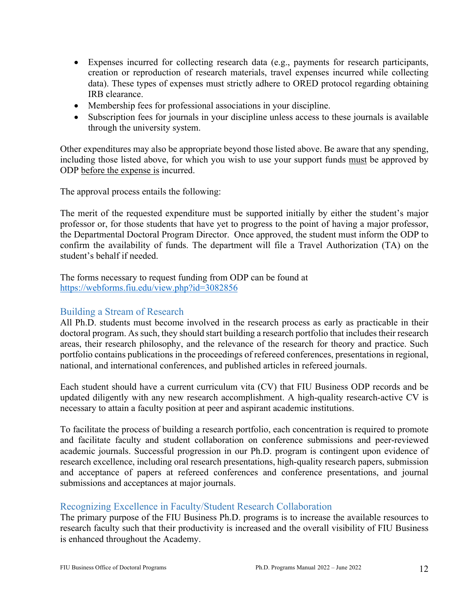- Expenses incurred for collecting research data (e.g., payments for research participants, creation or reproduction of research materials, travel expenses incurred while collecting data). These types of expenses must strictly adhere to ORED protocol regarding obtaining IRB clearance.
- Membership fees for professional associations in your discipline.
- Subscription fees for journals in your discipline unless access to these journals is available through the university system.

Other expenditures may also be appropriate beyond those listed above. Be aware that any spending, including those listed above, for which you wish to use your support funds must be approved by ODP before the expense is incurred.

The approval process entails the following:

The merit of the requested expenditure must be supported initially by either the student's major professor or, for those students that have yet to progress to the point of having a major professor, the Departmental Doctoral Program Director. Once approved, the student must inform the ODP to confirm the availability of funds. The department will file a Travel Authorization (TA) on the student's behalf if needed.

The forms necessary to request funding from ODP can be found at https://webforms.fiu.edu/view.php?id=3082856

## Building a Stream of Research

All Ph.D. students must become involved in the research process as early as practicable in their doctoral program. As such, they should start building a research portfolio that includes their research areas, their research philosophy, and the relevance of the research for theory and practice. Such portfolio contains publications in the proceedings of refereed conferences, presentations in regional, national, and international conferences, and published articles in refereed journals.

Each student should have a current curriculum vita (CV) that FIU Business ODP records and be updated diligently with any new research accomplishment. A high-quality research-active CV is necessary to attain a faculty position at peer and aspirant academic institutions.

To facilitate the process of building a research portfolio, each concentration is required to promote and facilitate faculty and student collaboration on conference submissions and peer-reviewed academic journals. Successful progression in our Ph.D. program is contingent upon evidence of research excellence, including oral research presentations, high-quality research papers, submission and acceptance of papers at refereed conferences and conference presentations, and journal submissions and acceptances at major journals.

## Recognizing Excellence in Faculty/Student Research Collaboration

The primary purpose of the FIU Business Ph.D. programs is to increase the available resources to research faculty such that their productivity is increased and the overall visibility of FIU Business is enhanced throughout the Academy.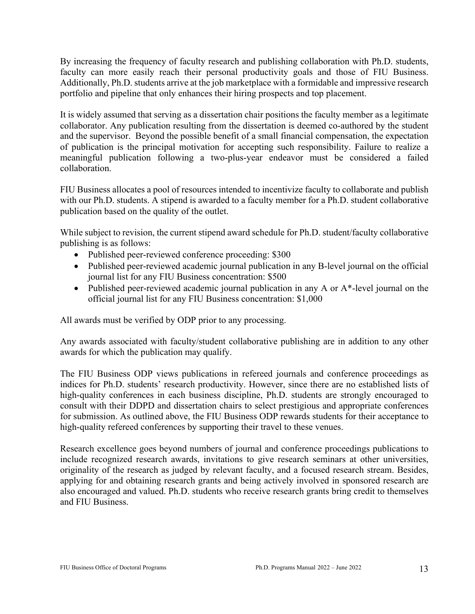By increasing the frequency of faculty research and publishing collaboration with Ph.D. students, faculty can more easily reach their personal productivity goals and those of FIU Business. Additionally, Ph.D. students arrive at the job marketplace with a formidable and impressive research portfolio and pipeline that only enhances their hiring prospects and top placement.

It is widely assumed that serving as a dissertation chair positions the faculty member as a legitimate collaborator. Any publication resulting from the dissertation is deemed co-authored by the student and the supervisor. Beyond the possible benefit of a small financial compensation, the expectation of publication is the principal motivation for accepting such responsibility. Failure to realize a meaningful publication following a two-plus-year endeavor must be considered a failed collaboration.

FIU Business allocates a pool of resources intended to incentivize faculty to collaborate and publish with our Ph.D. students. A stipend is awarded to a faculty member for a Ph.D. student collaborative publication based on the quality of the outlet.

While subject to revision, the current stipend award schedule for Ph.D. student/faculty collaborative publishing is as follows:

- Published peer-reviewed conference proceeding: \$300
- Published peer-reviewed academic journal publication in any B-level journal on the official journal list for any FIU Business concentration: \$500
- Published peer-reviewed academic journal publication in any A or A\*-level journal on the official journal list for any FIU Business concentration: \$1,000

All awards must be verified by ODP prior to any processing.

Any awards associated with faculty/student collaborative publishing are in addition to any other awards for which the publication may qualify.

The FIU Business ODP views publications in refereed journals and conference proceedings as indices for Ph.D. students' research productivity. However, since there are no established lists of high-quality conferences in each business discipline, Ph.D. students are strongly encouraged to consult with their DDPD and dissertation chairs to select prestigious and appropriate conferences for submission. As outlined above, the FIU Business ODP rewards students for their acceptance to high-quality refereed conferences by supporting their travel to these venues.

Research excellence goes beyond numbers of journal and conference proceedings publications to include recognized research awards, invitations to give research seminars at other universities, originality of the research as judged by relevant faculty, and a focused research stream. Besides, applying for and obtaining research grants and being actively involved in sponsored research are also encouraged and valued. Ph.D. students who receive research grants bring credit to themselves and FIU Business.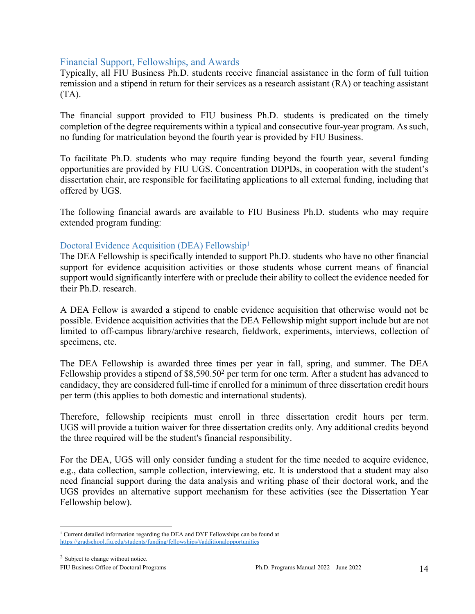#### Financial Support, Fellowships, and Awards

Typically, all FIU Business Ph.D. students receive financial assistance in the form of full tuition remission and a stipend in return for their services as a research assistant (RA) or teaching assistant (TA).

The financial support provided to FIU business Ph.D. students is predicated on the timely completion of the degree requirements within a typical and consecutive four-year program. As such, no funding for matriculation beyond the fourth year is provided by FIU Business.

To facilitate Ph.D. students who may require funding beyond the fourth year, several funding opportunities are provided by FIU UGS. Concentration DDPDs, in cooperation with the student's dissertation chair, are responsible for facilitating applications to all external funding, including that offered by UGS.

The following financial awards are available to FIU Business Ph.D. students who may require extended program funding:

#### Doctoral Evidence Acquisition (DEA) Fellowship<sup>1</sup>

The DEA Fellowship is specifically intended to support Ph.D. students who have no other financial support for evidence acquisition activities or those students whose current means of financial support would significantly interfere with or preclude their ability to collect the evidence needed for their Ph.D. research.

A DEA Fellow is awarded a stipend to enable evidence acquisition that otherwise would not be possible. Evidence acquisition activities that the DEA Fellowship might support include but are not limited to off-campus library/archive research, fieldwork, experiments, interviews, collection of specimens, etc.

The DEA Fellowship is awarded three times per year in fall, spring, and summer. The DEA Fellowship provides a stipend of  $$8,590.50<sup>2</sup>$  per term for one term. After a student has advanced to candidacy, they are considered full-time if enrolled for a minimum of three dissertation credit hours per term (this applies to both domestic and international students).

Therefore, fellowship recipients must enroll in three dissertation credit hours per term. UGS will provide a tuition waiver for three dissertation credits only. Any additional credits beyond the three required will be the student's financial responsibility.

For the DEA, UGS will only consider funding a student for the time needed to acquire evidence, e.g., data collection, sample collection, interviewing, etc. It is understood that a student may also need financial support during the data analysis and writing phase of their doctoral work, and the UGS provides an alternative support mechanism for these activities (see the Dissertation Year Fellowship below).

<sup>&</sup>lt;sup>1</sup> Current detailed information regarding the DEA and DYF Fellowships can be found at https://gradschool.fiu.edu/students/funding/fellowships/#additionalopportunities

<sup>&</sup>lt;sup>2</sup> Subject to change without notice.

FIU Business Office of Doctoral Programs **Ph.D. Programs Manual 2022** – June 2022 14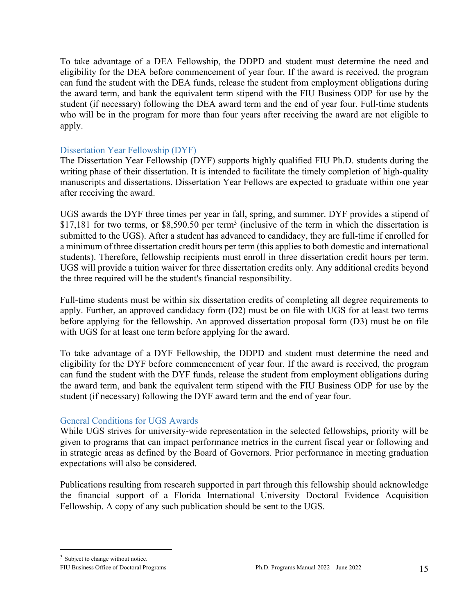To take advantage of a DEA Fellowship, the DDPD and student must determine the need and eligibility for the DEA before commencement of year four. If the award is received, the program can fund the student with the DEA funds, release the student from employment obligations during the award term, and bank the equivalent term stipend with the FIU Business ODP for use by the student (if necessary) following the DEA award term and the end of year four. Full-time students who will be in the program for more than four years after receiving the award are not eligible to apply.

#### Dissertation Year Fellowship (DYF)

The Dissertation Year Fellowship (DYF) supports highly qualified FIU Ph.D. students during the writing phase of their dissertation. It is intended to facilitate the timely completion of high-quality manuscripts and dissertations. Dissertation Year Fellows are expected to graduate within one year after receiving the award.

UGS awards the DYF three times per year in fall, spring, and summer. DYF provides a stipend of \$17,181 for two terms, or \$8,590.50 per term<sup>3</sup> (inclusive of the term in which the dissertation is submitted to the UGS). After a student has advanced to candidacy, they are full-time if enrolled for a minimum of three dissertation credit hours per term (this applies to both domestic and international students). Therefore, fellowship recipients must enroll in three dissertation credit hours per term. UGS will provide a tuition waiver for three dissertation credits only. Any additional credits beyond the three required will be the student's financial responsibility.

Full-time students must be within six dissertation credits of completing all degree requirements to apply. Further, an approved candidacy form (D2) must be on file with UGS for at least two terms before applying for the fellowship. An approved dissertation proposal form (D3) must be on file with UGS for at least one term before applying for the award.

To take advantage of a DYF Fellowship, the DDPD and student must determine the need and eligibility for the DYF before commencement of year four. If the award is received, the program can fund the student with the DYF funds, release the student from employment obligations during the award term, and bank the equivalent term stipend with the FIU Business ODP for use by the student (if necessary) following the DYF award term and the end of year four.

#### General Conditions for UGS Awards

While UGS strives for university-wide representation in the selected fellowships, priority will be given to programs that can impact performance metrics in the current fiscal year or following and in strategic areas as defined by the Board of Governors. Prior performance in meeting graduation expectations will also be considered.

Publications resulting from research supported in part through this fellowship should acknowledge the financial support of a Florida International University Doctoral Evidence Acquisition Fellowship. A copy of any such publication should be sent to the UGS.

<sup>3</sup> Subject to change without notice.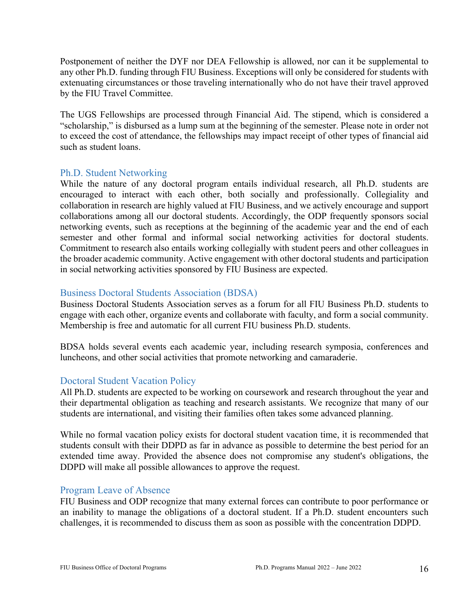Postponement of neither the DYF nor DEA Fellowship is allowed, nor can it be supplemental to any other Ph.D. funding through FIU Business. Exceptions will only be considered for students with extenuating circumstances or those traveling internationally who do not have their travel approved by the FIU Travel Committee.

The UGS Fellowships are processed through Financial Aid. The stipend, which is considered a "scholarship," is disbursed as a lump sum at the beginning of the semester. Please note in order not to exceed the cost of attendance, the fellowships may impact receipt of other types of financial aid such as student loans.

### Ph.D. Student Networking

While the nature of any doctoral program entails individual research, all Ph.D. students are encouraged to interact with each other, both socially and professionally. Collegiality and collaboration in research are highly valued at FIU Business, and we actively encourage and support collaborations among all our doctoral students. Accordingly, the ODP frequently sponsors social networking events, such as receptions at the beginning of the academic year and the end of each semester and other formal and informal social networking activities for doctoral students. Commitment to research also entails working collegially with student peers and other colleagues in the broader academic community. Active engagement with other doctoral students and participation in social networking activities sponsored by FIU Business are expected.

### Business Doctoral Students Association (BDSA)

Business Doctoral Students Association serves as a forum for all FIU Business Ph.D. students to engage with each other, organize events and collaborate with faculty, and form a social community. Membership is free and automatic for all current FIU business Ph.D. students.

BDSA holds several events each academic year, including research symposia, conferences and luncheons, and other social activities that promote networking and camaraderie.

### Doctoral Student Vacation Policy

All Ph.D. students are expected to be working on coursework and research throughout the year and their departmental obligation as teaching and research assistants. We recognize that many of our students are international, and visiting their families often takes some advanced planning.

While no formal vacation policy exists for doctoral student vacation time, it is recommended that students consult with their DDPD as far in advance as possible to determine the best period for an extended time away. Provided the absence does not compromise any student's obligations, the DDPD will make all possible allowances to approve the request.

### Program Leave of Absence

FIU Business and ODP recognize that many external forces can contribute to poor performance or an inability to manage the obligations of a doctoral student. If a Ph.D. student encounters such challenges, it is recommended to discuss them as soon as possible with the concentration DDPD.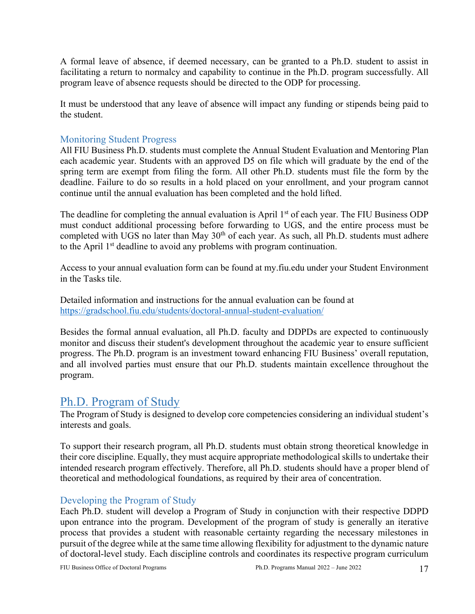A formal leave of absence, if deemed necessary, can be granted to a Ph.D. student to assist in facilitating a return to normalcy and capability to continue in the Ph.D. program successfully. All program leave of absence requests should be directed to the ODP for processing.

It must be understood that any leave of absence will impact any funding or stipends being paid to the student.

### Monitoring Student Progress

All FIU Business Ph.D. students must complete the Annual Student Evaluation and Mentoring Plan each academic year. Students with an approved D5 on file which will graduate by the end of the spring term are exempt from filing the form. All other Ph.D. students must file the form by the deadline. Failure to do so results in a hold placed on your enrollment, and your program cannot continue until the annual evaluation has been completed and the hold lifted.

The deadline for completing the annual evaluation is April 1<sup>st</sup> of each year. The FIU Business ODP must conduct additional processing before forwarding to UGS, and the entire process must be completed with UGS no later than May 30<sup>th</sup> of each year. As such, all Ph.D. students must adhere to the April 1<sup>st</sup> deadline to avoid any problems with program continuation.

Access to your annual evaluation form can be found at my.fiu.edu under your Student Environment in the Tasks tile.

Detailed information and instructions for the annual evaluation can be found at https://gradschool.fiu.edu/students/doctoral-annual-student-evaluation/

Besides the formal annual evaluation, all Ph.D. faculty and DDPDs are expected to continuously monitor and discuss their student's development throughout the academic year to ensure sufficient progress. The Ph.D. program is an investment toward enhancing FIU Business' overall reputation, and all involved parties must ensure that our Ph.D. students maintain excellence throughout the program.

# Ph.D. Program of Study

The Program of Study is designed to develop core competencies considering an individual student's interests and goals.

To support their research program, all Ph.D. students must obtain strong theoretical knowledge in their core discipline. Equally, they must acquire appropriate methodological skills to undertake their intended research program effectively. Therefore, all Ph.D. students should have a proper blend of theoretical and methodological foundations, as required by their area of concentration.

## Developing the Program of Study

Each Ph.D. student will develop a Program of Study in conjunction with their respective DDPD upon entrance into the program. Development of the program of study is generally an iterative process that provides a student with reasonable certainty regarding the necessary milestones in pursuit of the degree while at the same time allowing flexibility for adjustment to the dynamic nature of doctoral-level study. Each discipline controls and coordinates its respective program curriculum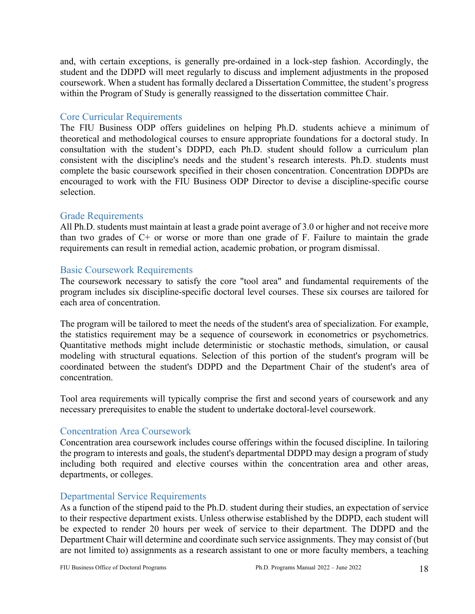and, with certain exceptions, is generally pre-ordained in a lock-step fashion. Accordingly, the student and the DDPD will meet regularly to discuss and implement adjustments in the proposed coursework. When a student has formally declared a Dissertation Committee, the student's progress within the Program of Study is generally reassigned to the dissertation committee Chair.

#### Core Curricular Requirements

The FIU Business ODP offers guidelines on helping Ph.D. students achieve a minimum of theoretical and methodological courses to ensure appropriate foundations for a doctoral study. In consultation with the student's DDPD, each Ph.D. student should follow a curriculum plan consistent with the discipline's needs and the student's research interests. Ph.D. students must complete the basic coursework specified in their chosen concentration. Concentration DDPDs are encouraged to work with the FIU Business ODP Director to devise a discipline-specific course selection.

#### Grade Requirements

All Ph.D. students must maintain at least a grade point average of 3.0 or higher and not receive more than two grades of  $C<sup>+</sup>$  or worse or more than one grade of F. Failure to maintain the grade requirements can result in remedial action, academic probation, or program dismissal.

### Basic Coursework Requirements

The coursework necessary to satisfy the core "tool area" and fundamental requirements of the program includes six discipline-specific doctoral level courses. These six courses are tailored for each area of concentration.

The program will be tailored to meet the needs of the student's area of specialization. For example, the statistics requirement may be a sequence of coursework in econometrics or psychometrics. Quantitative methods might include deterministic or stochastic methods, simulation, or causal modeling with structural equations. Selection of this portion of the student's program will be coordinated between the student's DDPD and the Department Chair of the student's area of concentration.

Tool area requirements will typically comprise the first and second years of coursework and any necessary prerequisites to enable the student to undertake doctoral-level coursework.

### Concentration Area Coursework

Concentration area coursework includes course offerings within the focused discipline. In tailoring the program to interests and goals, the student's departmental DDPD may design a program of study including both required and elective courses within the concentration area and other areas, departments, or colleges.

### Departmental Service Requirements

As a function of the stipend paid to the Ph.D. student during their studies, an expectation of service to their respective department exists. Unless otherwise established by the DDPD, each student will be expected to render 20 hours per week of service to their department. The DDPD and the Department Chair will determine and coordinate such service assignments. They may consist of (but are not limited to) assignments as a research assistant to one or more faculty members, a teaching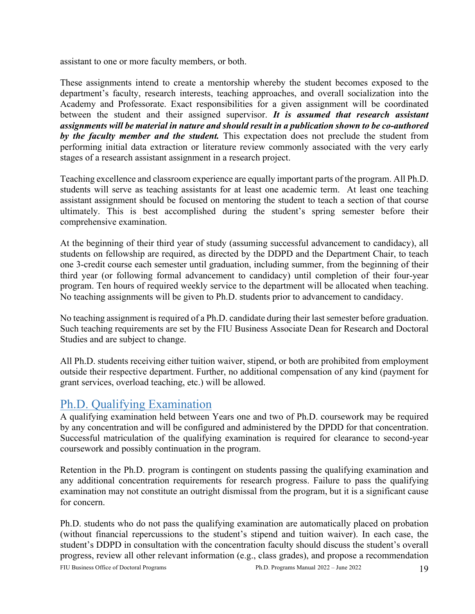assistant to one or more faculty members, or both.

These assignments intend to create a mentorship whereby the student becomes exposed to the department's faculty, research interests, teaching approaches, and overall socialization into the Academy and Professorate. Exact responsibilities for a given assignment will be coordinated between the student and their assigned supervisor. *It is assumed that research assistant assignments will be material in nature and should result in a publication shown to be co-authored by the faculty member and the student.* This expectation does not preclude the student from performing initial data extraction or literature review commonly associated with the very early stages of a research assistant assignment in a research project.

Teaching excellence and classroom experience are equally important parts of the program. All Ph.D. students will serve as teaching assistants for at least one academic term. At least one teaching assistant assignment should be focused on mentoring the student to teach a section of that course ultimately. This is best accomplished during the student's spring semester before their comprehensive examination.

At the beginning of their third year of study (assuming successful advancement to candidacy), all students on fellowship are required, as directed by the DDPD and the Department Chair, to teach one 3-credit course each semester until graduation, including summer, from the beginning of their third year (or following formal advancement to candidacy) until completion of their four-year program. Ten hours of required weekly service to the department will be allocated when teaching. No teaching assignments will be given to Ph.D. students prior to advancement to candidacy.

No teaching assignment is required of a Ph.D. candidate during their last semester before graduation. Such teaching requirements are set by the FIU Business Associate Dean for Research and Doctoral Studies and are subject to change.

All Ph.D. students receiving either tuition waiver, stipend, or both are prohibited from employment outside their respective department. Further, no additional compensation of any kind (payment for grant services, overload teaching, etc.) will be allowed.

# Ph.D. Qualifying Examination

A qualifying examination held between Years one and two of Ph.D. coursework may be required by any concentration and will be configured and administered by the DPDD for that concentration. Successful matriculation of the qualifying examination is required for clearance to second-year coursework and possibly continuation in the program.

Retention in the Ph.D. program is contingent on students passing the qualifying examination and any additional concentration requirements for research progress. Failure to pass the qualifying examination may not constitute an outright dismissal from the program, but it is a significant cause for concern.

Ph.D. students who do not pass the qualifying examination are automatically placed on probation (without financial repercussions to the student's stipend and tuition waiver). In each case, the student's DDPD in consultation with the concentration faculty should discuss the student's overall progress, review all other relevant information (e.g., class grades), and propose a recommendation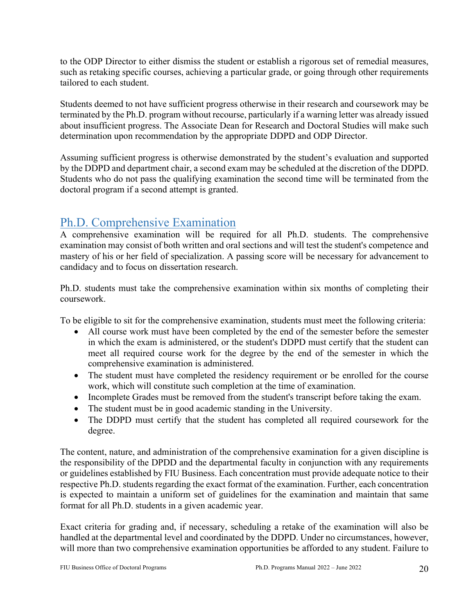to the ODP Director to either dismiss the student or establish a rigorous set of remedial measures, such as retaking specific courses, achieving a particular grade, or going through other requirements tailored to each student.

Students deemed to not have sufficient progress otherwise in their research and coursework may be terminated by the Ph.D. program without recourse, particularly if a warning letter was already issued about insufficient progress. The Associate Dean for Research and Doctoral Studies will make such determination upon recommendation by the appropriate DDPD and ODP Director.

Assuming sufficient progress is otherwise demonstrated by the student's evaluation and supported by the DDPD and department chair, a second exam may be scheduled at the discretion of the DDPD. Students who do not pass the qualifying examination the second time will be terminated from the doctoral program if a second attempt is granted.

# Ph.D. Comprehensive Examination

A comprehensive examination will be required for all Ph.D. students. The comprehensive examination may consist of both written and oral sections and will test the student's competence and mastery of his or her field of specialization. A passing score will be necessary for advancement to candidacy and to focus on dissertation research.

Ph.D. students must take the comprehensive examination within six months of completing their coursework.

To be eligible to sit for the comprehensive examination, students must meet the following criteria:

- All course work must have been completed by the end of the semester before the semester in which the exam is administered, or the student's DDPD must certify that the student can meet all required course work for the degree by the end of the semester in which the comprehensive examination is administered.
- The student must have completed the residency requirement or be enrolled for the course work, which will constitute such completion at the time of examination.
- Incomplete Grades must be removed from the student's transcript before taking the exam.
- The student must be in good academic standing in the University.
- The DDPD must certify that the student has completed all required coursework for the degree.

The content, nature, and administration of the comprehensive examination for a given discipline is the responsibility of the DPDD and the departmental faculty in conjunction with any requirements or guidelines established by FIU Business. Each concentration must provide adequate notice to their respective Ph.D. students regarding the exact format of the examination. Further, each concentration is expected to maintain a uniform set of guidelines for the examination and maintain that same format for all Ph.D. students in a given academic year.

Exact criteria for grading and, if necessary, scheduling a retake of the examination will also be handled at the departmental level and coordinated by the DDPD. Under no circumstances, however, will more than two comprehensive examination opportunities be afforded to any student. Failure to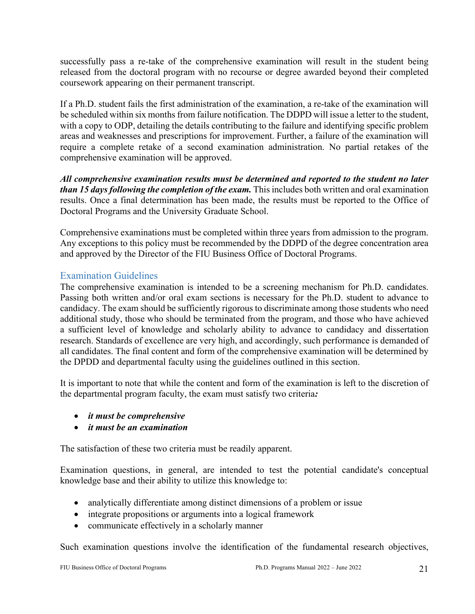successfully pass a re-take of the comprehensive examination will result in the student being released from the doctoral program with no recourse or degree awarded beyond their completed coursework appearing on their permanent transcript.

If a Ph.D. student fails the first administration of the examination, a re-take of the examination will be scheduled within six months from failure notification. The DDPD will issue a letter to the student, with a copy to ODP, detailing the details contributing to the failure and identifying specific problem areas and weaknesses and prescriptions for improvement. Further, a failure of the examination will require a complete retake of a second examination administration. No partial retakes of the comprehensive examination will be approved.

*All comprehensive examination results must be determined and reported to the student no later than 15 days following the completion of the exam.* This includes both written and oral examination results. Once a final determination has been made, the results must be reported to the Office of Doctoral Programs and the University Graduate School.

Comprehensive examinations must be completed within three years from admission to the program. Any exceptions to this policy must be recommended by the DDPD of the degree concentration area and approved by the Director of the FIU Business Office of Doctoral Programs.

## Examination Guidelines

The comprehensive examination is intended to be a screening mechanism for Ph.D. candidates. Passing both written and/or oral exam sections is necessary for the Ph.D. student to advance to candidacy. The exam should be sufficiently rigorous to discriminate among those students who need additional study, those who should be terminated from the program, and those who have achieved a sufficient level of knowledge and scholarly ability to advance to candidacy and dissertation research. Standards of excellence are very high, and accordingly, such performance is demanded of all candidates. The final content and form of the comprehensive examination will be determined by the DPDD and departmental faculty using the guidelines outlined in this section.

It is important to note that while the content and form of the examination is left to the discretion of the departmental program faculty, the exam must satisfy two criteria*:* 

- *it must be comprehensive*
- *it must be an examination*

The satisfaction of these two criteria must be readily apparent.

Examination questions, in general, are intended to test the potential candidate's conceptual knowledge base and their ability to utilize this knowledge to:

- analytically differentiate among distinct dimensions of a problem or issue
- integrate propositions or arguments into a logical framework
- communicate effectively in a scholarly manner

Such examination questions involve the identification of the fundamental research objectives,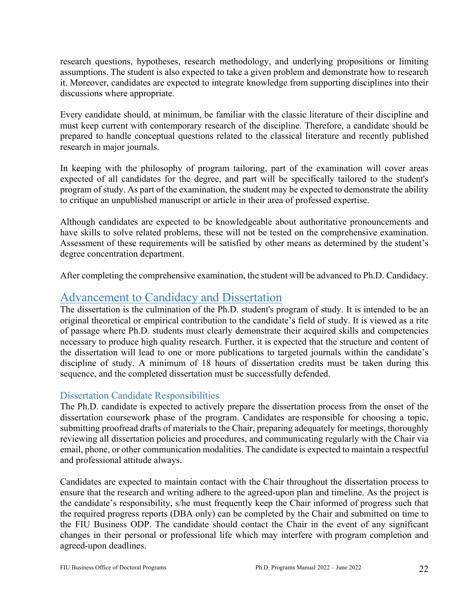research questions, hypotheses, research methodology, and underlying propositions or limiting assumptions. The student is also expected to take a given problem and demonstrate how to research it. Moreover, candidates are expected to integrate knowledge from supporting disciplines into their discussions where appropriate.

Every candidate should, at minimum, be familiar with the classic literature of their discipline and must keep current with contemporary research of the discipline. Therefore, a candidate should be prepared to handle conceptual questions related to the classical literature and recently published research in major journals.

In keeping with the philosophy of program tailoring, part of the examination will cover areas expected of all candidates for the degree, and part will be specifically tailored to the student's program of study. As part of the examination, the student may be expected to demonstrate the ability to critique an unpublished manuscript or article in their area of professed expertise.

Although candidates are expected to be knowledgeable about authoritative pronouncements and have skills to solve related problems, these will not be tested on the comprehensive examination. Assessment of these requirements will be satisfied by other means as determined by the student's degree concentration department.

After completing the comprehensive examination, the student will be advanced to Ph.D. Candidacy.

# Advancement to Candidacy and Dissertation

The dissertation is the culmination of the Ph.D. student's program of study. It is intended to be an original theoretical or empirical contribution to the candidate's field of study. It is viewed as a rite of passage where Ph.D. students must clearly demonstrate their acquired skills and competencies necessary to produce high quality research. Further, it is expected that the structure and content of the dissertation will lead to one or more publications to targeted journals within the candidate's discipline of study. A minimum of 18 hours of dissertation credits must be taken during this sequence, and the completed dissertation must be successfully defended.

## Dissertation Candidate Responsibilities

The Ph.D. candidate is expected to actively prepare the dissertation process from the onset of the dissertation coursework phase of the program. Candidates are responsible for choosing a topic, submitting proofread drafts of materials to the Chair, preparing adequately for meetings, thoroughly reviewing all dissertation policies and procedures, and communicating regularly with the Chair via email, phone, or other communication modalities. The candidate is expected to maintain a respectful and professional attitude always.

Candidates are expected to maintain contact with the Chair throughout the dissertation process to ensure that the research and writing adhere to the agreed-upon plan and timeline. As the project is the candidate's responsibility, s/he must frequently keep the Chair informed of progress such that the required progress reports (DBA only) can be completed by the Chair and submitted on time to the FIU Business ODP. The candidate should contact the Chair in the event of any significant changes in their personal or professional life which may interfere with program completion and agreed-upon deadlines.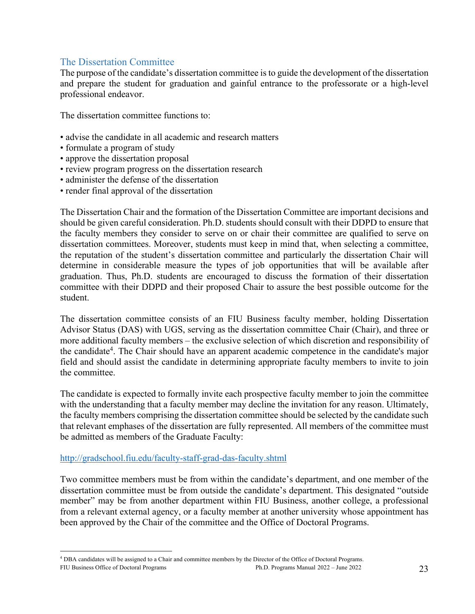## The Dissertation Committee

The purpose of the candidate's dissertation committee is to guide the development of the dissertation and prepare the student for graduation and gainful entrance to the professorate or a high-level professional endeavor.

The dissertation committee functions to:

- advise the candidate in all academic and research matters
- formulate a program of study
- approve the dissertation proposal
- review program progress on the dissertation research
- administer the defense of the dissertation
- render final approval of the dissertation

The Dissertation Chair and the formation of the Dissertation Committee are important decisions and should be given careful consideration. Ph.D. students should consult with their DDPD to ensure that the faculty members they consider to serve on or chair their committee are qualified to serve on dissertation committees. Moreover, students must keep in mind that, when selecting a committee, the reputation of the student's dissertation committee and particularly the dissertation Chair will determine in considerable measure the types of job opportunities that will be available after graduation. Thus, Ph.D. students are encouraged to discuss the formation of their dissertation committee with their DDPD and their proposed Chair to assure the best possible outcome for the student.

The dissertation committee consists of an FIU Business faculty member, holding Dissertation Advisor Status (DAS) with UGS, serving as the dissertation committee Chair (Chair), and three or more additional faculty members – the exclusive selection of which discretion and responsibility of the candidate<sup>4</sup>. The Chair should have an apparent academic competence in the candidate's major field and should assist the candidate in determining appropriate faculty members to invite to join the committee.

The candidate is expected to formally invite each prospective faculty member to join the committee with the understanding that a faculty member may decline the invitation for any reason. Ultimately, the faculty members comprising the dissertation committee should be selected by the candidate such that relevant emphases of the dissertation are fully represented. All members of the committee must be admitted as members of the Graduate Faculty:

### http://gradschool.fiu.edu/faculty-staff-grad-das-faculty.shtml

Two committee members must be from within the candidate's department, and one member of the dissertation committee must be from outside the candidate's department. This designated "outside member" may be from another department within FIU Business, another college, a professional from a relevant external agency, or a faculty member at another university whose appointment has been approved by the Chair of the committee and the Office of Doctoral Programs.

FIU Business Office of Doctoral Programs **Ph.D. Programs Manual 2022** – June 2022 23 <sup>4</sup> DBA candidates will be assigned to a Chair and committee members by the Director of the Office of Doctoral Programs.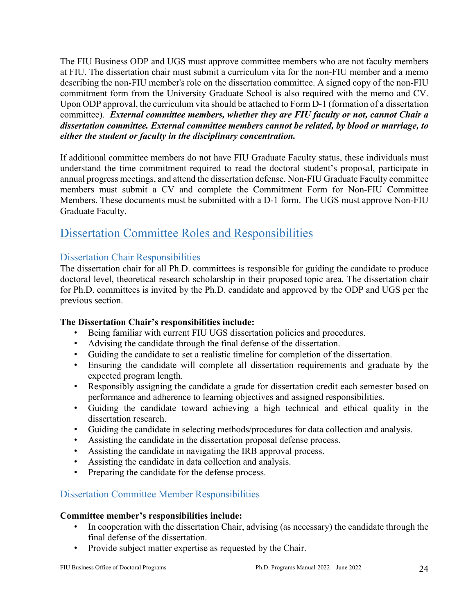The FIU Business ODP and UGS must approve committee members who are not faculty members at FIU. The dissertation chair must submit a curriculum vita for the non-FIU member and a memo describing the non-FIU member's role on the dissertation committee. A signed copy of the non-FIU commitment form from the University Graduate School is also required with the memo and CV. Upon ODP approval, the curriculum vita should be attached to Form D-1 (formation of a dissertation committee). *External committee members, whether they are FIU faculty or not, cannot Chair a dissertation committee. External committee members cannot be related, by blood or marriage, to either the student or faculty in the disciplinary concentration.*

If additional committee members do not have FIU Graduate Faculty status, these individuals must understand the time commitment required to read the doctoral student's proposal, participate in annual progress meetings, and attend the dissertation defense. Non-FIU Graduate Faculty committee members must submit a CV and complete the Commitment Form for Non-FIU Committee Members. These documents must be submitted with a D-1 form. The UGS must approve Non-FIU Graduate Faculty.

# Dissertation Committee Roles and Responsibilities

## Dissertation Chair Responsibilities

The dissertation chair for all Ph.D. committees is responsible for guiding the candidate to produce doctoral level, theoretical research scholarship in their proposed topic area. The dissertation chair for Ph.D. committees is invited by the Ph.D. candidate and approved by the ODP and UGS per the previous section.

## **The Dissertation Chair's responsibilities include:**

- Being familiar with current FIU UGS dissertation policies and procedures.
- Advising the candidate through the final defense of the dissertation.
- Guiding the candidate to set a realistic timeline for completion of the dissertation.
- Ensuring the candidate will complete all dissertation requirements and graduate by the expected program length.
- Responsibly assigning the candidate a grade for dissertation credit each semester based on performance and adherence to learning objectives and assigned responsibilities.
- Guiding the candidate toward achieving a high technical and ethical quality in the dissertation research.
- Guiding the candidate in selecting methods/procedures for data collection and analysis.
- Assisting the candidate in the dissertation proposal defense process.
- Assisting the candidate in navigating the IRB approval process.
- Assisting the candidate in data collection and analysis.
- Preparing the candidate for the defense process.

## Dissertation Committee Member Responsibilities

### **Committee member's responsibilities include:**

- In cooperation with the dissertation Chair, advising (as necessary) the candidate through the final defense of the dissertation.
- Provide subject matter expertise as requested by the Chair.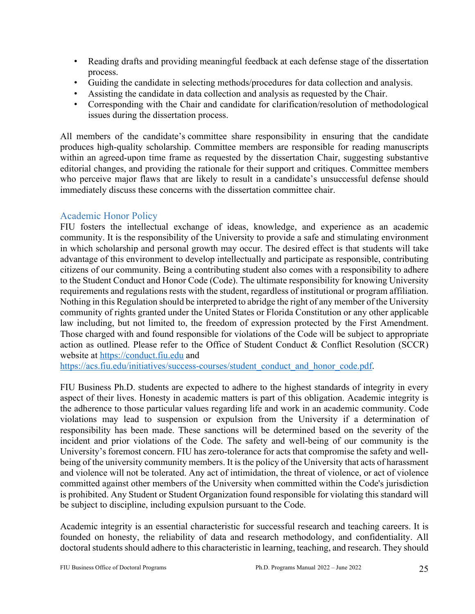- Reading drafts and providing meaningful feedback at each defense stage of the dissertation process.
- Guiding the candidate in selecting methods/procedures for data collection and analysis.
- Assisting the candidate in data collection and analysis as requested by the Chair.
- Corresponding with the Chair and candidate for clarification/resolution of methodological issues during the dissertation process.

All members of the candidate's committee share responsibility in ensuring that the candidate produces high-quality scholarship. Committee members are responsible for reading manuscripts within an agreed-upon time frame as requested by the dissertation Chair, suggesting substantive editorial changes, and providing the rationale for their support and critiques. Committee members who perceive major flaws that are likely to result in a candidate's unsuccessful defense should immediately discuss these concerns with the dissertation committee chair.

## Academic Honor Policy

FIU fosters the intellectual exchange of ideas, knowledge, and experience as an academic community. It is the responsibility of the University to provide a safe and stimulating environment in which scholarship and personal growth may occur. The desired effect is that students will take advantage of this environment to develop intellectually and participate as responsible, contributing citizens of our community. Being a contributing student also comes with a responsibility to adhere to the Student Conduct and Honor Code (Code). The ultimate responsibility for knowing University requirements and regulations rests with the student, regardless of institutional or program affiliation. Nothing in this Regulation should be interpreted to abridge the right of any member of the University community of rights granted under the United States or Florida Constitution or any other applicable law including, but not limited to, the freedom of expression protected by the First Amendment. Those charged with and found responsible for violations of the Code will be subject to appropriate action as outlined. Please refer to the Office of Student Conduct & Conflict Resolution (SCCR) website at https://conduct.fiu.edu and

https://acs.fiu.edu/initiatives/success-courses/student\_conduct\_and\_honor\_code.pdf.

FIU Business Ph.D. students are expected to adhere to the highest standards of integrity in every aspect of their lives. Honesty in academic matters is part of this obligation. Academic integrity is the adherence to those particular values regarding life and work in an academic community. Code violations may lead to suspension or expulsion from the University if a determination of responsibility has been made. These sanctions will be determined based on the severity of the incident and prior violations of the Code. The safety and well-being of our community is the University's foremost concern. FIU has zero-tolerance for acts that compromise the safety and wellbeing of the university community members. It is the policy of the University that acts of harassment and violence will not be tolerated. Any act of intimidation, the threat of violence, or act of violence committed against other members of the University when committed within the Code's jurisdiction is prohibited. Any Student or Student Organization found responsible for violating this standard will be subject to discipline, including expulsion pursuant to the Code.

Academic integrity is an essential characteristic for successful research and teaching careers. It is founded on honesty, the reliability of data and research methodology, and confidentiality. All doctoral students should adhere to this characteristic in learning, teaching, and research. They should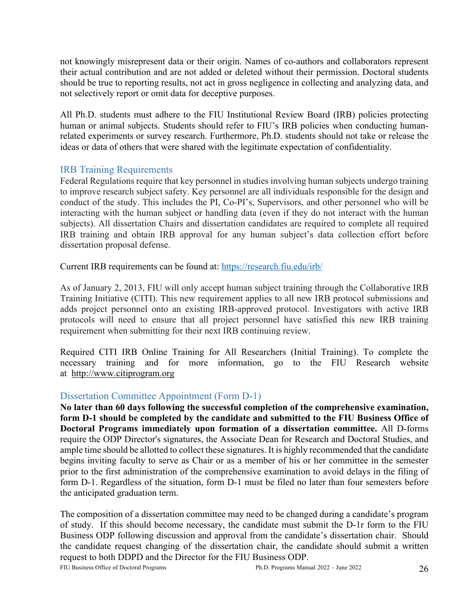not knowingly misrepresent data or their origin. Names of co-authors and collaborators represent their actual contribution and are not added or deleted without their permission. Doctoral students should be true to reporting results, not act in gross negligence in collecting and analyzing data, and not selectively report or omit data for deceptive purposes.

All Ph.D. students must adhere to the FIU Institutional Review Board (IRB) policies protecting human or animal subjects. Students should refer to FIU's IRB policies when conducting humanrelated experiments or survey research. Furthermore, Ph.D. students should not take or release the ideas or data of others that were shared with the legitimate expectation of confidentiality.

### IRB Training Requirements

Federal Regulations require that key personnel in studies involving human subjects undergo training to improve research subject safety. Key personnel are all individuals responsible for the design and conduct of the study. This includes the PI, Co-PI's, Supervisors, and other personnel who will be interacting with the human subject or handling data (even if they do not interact with the human subjects). All dissertation Chairs and dissertation candidates are required to complete all required IRB training and obtain IRB approval for any human subject's data collection effort before dissertation proposal defense.

Current IRB requirements can be found at: https://research.fiu.edu/irb/

As of January 2, 2013, FIU will only accept human subject training through the Collaborative IRB Training Initiative (CITI). This new requirement applies to all new IRB protocol submissions and adds project personnel onto an existing IRB-approved protocol. Investigators with active IRB protocols will need to ensure that all project personnel have satisfied this new IRB training requirement when submitting for their next IRB continuing review.

Required CITI IRB Online Training for All Researchers (Initial Training). To complete the necessary training and for more information, go to the FIU Research website at http://www.citiprogram.org

## Dissertation Committee Appointment (Form D-1)

**No later than 60 days following the successful completion of the comprehensive examination, form D-1 should be completed by the candidate and submitted to the FIU Business Office of Doctoral Programs immediately upon formation of a dissertation committee.** All D-forms require the ODP Director's signatures, the Associate Dean for Research and Doctoral Studies, and ample time should be allotted to collect these signatures. It is highly recommended that the candidate begins inviting faculty to serve as Chair or as a member of his or her committee in the semester prior to the first administration of the comprehensive examination to avoid delays in the filing of form D-1. Regardless of the situation, form D-1 must be filed no later than four semesters before the anticipated graduation term.

The composition of a dissertation committee may need to be changed during a candidate's program of study. If this should become necessary, the candidate must submit the D-1r form to the FIU Business ODP following discussion and approval from the candidate's dissertation chair. Should the candidate request changing of the dissertation chair, the candidate should submit a written request to both DDPD and the Director for the FIU Business ODP.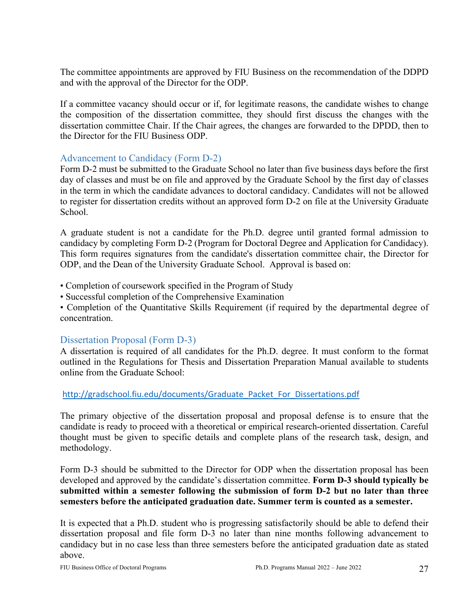The committee appointments are approved by FIU Business on the recommendation of the DDPD and with the approval of the Director for the ODP.

If a committee vacancy should occur or if, for legitimate reasons, the candidate wishes to change the composition of the dissertation committee, they should first discuss the changes with the dissertation committee Chair. If the Chair agrees, the changes are forwarded to the DPDD, then to the Director for the FIU Business ODP.

### Advancement to Candidacy (Form D-2)

Form D-2 must be submitted to the Graduate School no later than five business days before the first day of classes and must be on file and approved by the Graduate School by the first day of classes in the term in which the candidate advances to doctoral candidacy. Candidates will not be allowed to register for dissertation credits without an approved form D-2 on file at the University Graduate School.

A graduate student is not a candidate for the Ph.D. degree until granted formal admission to candidacy by completing Form D-2 (Program for Doctoral Degree and Application for Candidacy). This form requires signatures from the candidate's dissertation committee chair, the Director for ODP, and the Dean of the University Graduate School. Approval is based on:

• Completion of coursework specified in the Program of Study

• Successful completion of the Comprehensive Examination

• Completion of the Quantitative Skills Requirement (if required by the departmental degree of concentration.

## Dissertation Proposal (Form D-3)

A dissertation is required of all candidates for the Ph.D. degree. It must conform to the format outlined in the Regulations for Thesis and Dissertation Preparation Manual available to students online from the Graduate School:

http://gradschool.fiu.edu/documents/Graduate\_Packet\_For\_Dissertations.pdf

The primary objective of the dissertation proposal and proposal defense is to ensure that the candidate is ready to proceed with a theoretical or empirical research-oriented dissertation. Careful thought must be given to specific details and complete plans of the research task, design, and methodology.

Form D-3 should be submitted to the Director for ODP when the dissertation proposal has been developed and approved by the candidate's dissertation committee. **Form D-3 should typically be submitted within a semester following the submission of form D-2 but no later than three semesters before the anticipated graduation date. Summer term is counted as a semester.**

It is expected that a Ph.D. student who is progressing satisfactorily should be able to defend their dissertation proposal and file form D-3 no later than nine months following advancement to candidacy but in no case less than three semesters before the anticipated graduation date as stated above.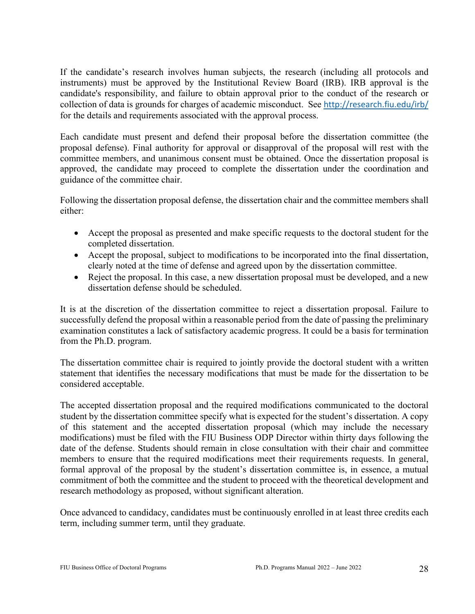If the candidate's research involves human subjects, the research (including all protocols and instruments) must be approved by the Institutional Review Board (IRB). IRB approval is the candidate's responsibility, and failure to obtain approval prior to the conduct of the research or collection of data is grounds for charges of academic misconduct. See http://research.fiu.edu/irb/ for the details and requirements associated with the approval process.

Each candidate must present and defend their proposal before the dissertation committee (the proposal defense). Final authority for approval or disapproval of the proposal will rest with the committee members, and unanimous consent must be obtained. Once the dissertation proposal is approved, the candidate may proceed to complete the dissertation under the coordination and guidance of the committee chair.

Following the dissertation proposal defense, the dissertation chair and the committee members shall either:

- Accept the proposal as presented and make specific requests to the doctoral student for the completed dissertation.
- Accept the proposal, subject to modifications to be incorporated into the final dissertation, clearly noted at the time of defense and agreed upon by the dissertation committee.
- Reject the proposal. In this case, a new dissertation proposal must be developed, and a new dissertation defense should be scheduled.

It is at the discretion of the dissertation committee to reject a dissertation proposal. Failure to successfully defend the proposal within a reasonable period from the date of passing the preliminary examination constitutes a lack of satisfactory academic progress. It could be a basis for termination from the Ph.D. program.

The dissertation committee chair is required to jointly provide the doctoral student with a written statement that identifies the necessary modifications that must be made for the dissertation to be considered acceptable.

The accepted dissertation proposal and the required modifications communicated to the doctoral student by the dissertation committee specify what is expected for the student's dissertation. A copy of this statement and the accepted dissertation proposal (which may include the necessary modifications) must be filed with the FIU Business ODP Director within thirty days following the date of the defense. Students should remain in close consultation with their chair and committee members to ensure that the required modifications meet their requirements requests. In general, formal approval of the proposal by the student's dissertation committee is, in essence, a mutual commitment of both the committee and the student to proceed with the theoretical development and research methodology as proposed, without significant alteration.

Once advanced to candidacy, candidates must be continuously enrolled in at least three credits each term, including summer term, until they graduate.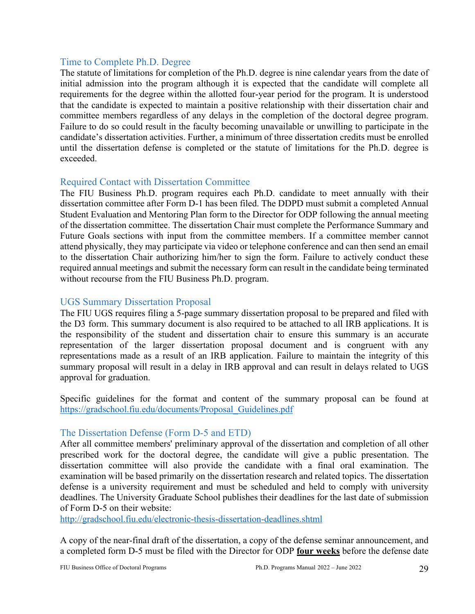#### Time to Complete Ph.D. Degree

The statute of limitations for completion of the Ph.D. degree is nine calendar years from the date of initial admission into the program although it is expected that the candidate will complete all requirements for the degree within the allotted four-year period for the program. It is understood that the candidate is expected to maintain a positive relationship with their dissertation chair and committee members regardless of any delays in the completion of the doctoral degree program. Failure to do so could result in the faculty becoming unavailable or unwilling to participate in the candidate's dissertation activities. Further, a minimum of three dissertation credits must be enrolled until the dissertation defense is completed or the statute of limitations for the Ph.D. degree is exceeded.

#### Required Contact with Dissertation Committee

The FIU Business Ph.D. program requires each Ph.D. candidate to meet annually with their dissertation committee after Form D-1 has been filed. The DDPD must submit a completed Annual Student Evaluation and Mentoring Plan form to the Director for ODP following the annual meeting of the dissertation committee. The dissertation Chair must complete the Performance Summary and Future Goals sections with input from the committee members. If a committee member cannot attend physically, they may participate via video or telephone conference and can then send an email to the dissertation Chair authorizing him/her to sign the form. Failure to actively conduct these required annual meetings and submit the necessary form can result in the candidate being terminated without recourse from the FIU Business Ph.D. program.

### UGS Summary Dissertation Proposal

The FIU UGS requires filing a 5-page summary dissertation proposal to be prepared and filed with the D3 form. This summary document is also required to be attached to all IRB applications. It is the responsibility of the student and dissertation chair to ensure this summary is an accurate representation of the larger dissertation proposal document and is congruent with any representations made as a result of an IRB application. Failure to maintain the integrity of this summary proposal will result in a delay in IRB approval and can result in delays related to UGS approval for graduation.

Specific guidelines for the format and content of the summary proposal can be found at https://gradschool.fiu.edu/documents/Proposal\_Guidelines.pdf

### The Dissertation Defense (Form D-5 and ETD)

After all committee members' preliminary approval of the dissertation and completion of all other prescribed work for the doctoral degree, the candidate will give a public presentation. The dissertation committee will also provide the candidate with a final oral examination. The examination will be based primarily on the dissertation research and related topics. The dissertation defense is a university requirement and must be scheduled and held to comply with university deadlines. The University Graduate School publishes their deadlines for the last date of submission of Form D-5 on their website:

http://gradschool.fiu.edu/electronic-thesis-dissertation-deadlines.shtml

A copy of the near-final draft of the dissertation, a copy of the defense seminar announcement, and a completed form D-5 must be filed with the Director for ODP **four weeks** before the defense date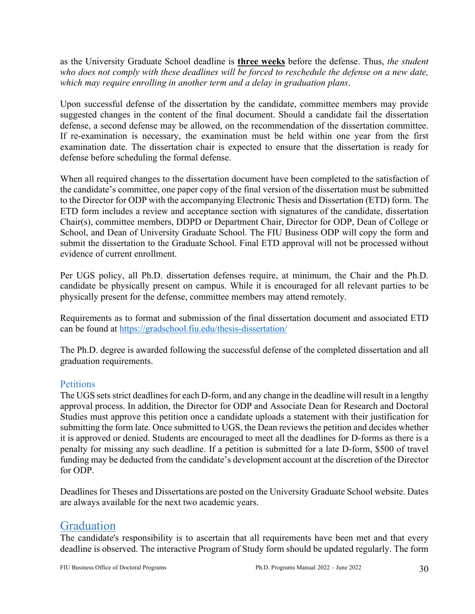as the University Graduate School deadline is **three weeks** before the defense. Thus, *the student*  who does not comply with these deadlines will be forced to reschedule the defense on a new date, *which may require enrolling in another term and a delay in graduation plans*.

Upon successful defense of the dissertation by the candidate, committee members may provide suggested changes in the content of the final document. Should a candidate fail the dissertation defense, a second defense may be allowed, on the recommendation of the dissertation committee. If re-examination is necessary, the examination must be held within one year from the first examination date. The dissertation chair is expected to ensure that the dissertation is ready for defense before scheduling the formal defense.

When all required changes to the dissertation document have been completed to the satisfaction of the candidate's committee, one paper copy of the final version of the dissertation must be submitted to the Director for ODP with the accompanying Electronic Thesis and Dissertation (ETD) form. The ETD form includes a review and acceptance section with signatures of the candidate, dissertation Chair(s), committee members, DDPD or Department Chair, Director for ODP, Dean of College or School, and Dean of University Graduate School. The FIU Business ODP will copy the form and submit the dissertation to the Graduate School. Final ETD approval will not be processed without evidence of current enrollment.

Per UGS policy, all Ph.D. dissertation defenses require, at minimum, the Chair and the Ph.D. candidate be physically present on campus. While it is encouraged for all relevant parties to be physically present for the defense, committee members may attend remotely.

Requirements as to format and submission of the final dissertation document and associated ETD can be found at https://gradschool.fiu.edu/thesis-dissertation/

The Ph.D. degree is awarded following the successful defense of the completed dissertation and all graduation requirements.

## **Petitions**

The UGS sets strict deadlines for each D-form, and any change in the deadline will result in a lengthy approval process. In addition, the Director for ODP and Associate Dean for Research and Doctoral Studies must approve this petition once a candidate uploads a statement with their justification for submitting the form late. Once submitted to UGS, the Dean reviews the petition and decides whether it is approved or denied. Students are encouraged to meet all the deadlines for D-forms as there is a penalty for missing any such deadline. If a petition is submitted for a late D-form, \$500 of travel funding may be deducted from the candidate's development account at the discretion of the Director for ODP.

Deadlines for Theses and Dissertations are posted on the University Graduate School website. Dates are always available for the next two academic years.

# Graduation

The candidate's responsibility is to ascertain that all requirements have been met and that every deadline is observed. The interactive Program of Study form should be updated regularly. The form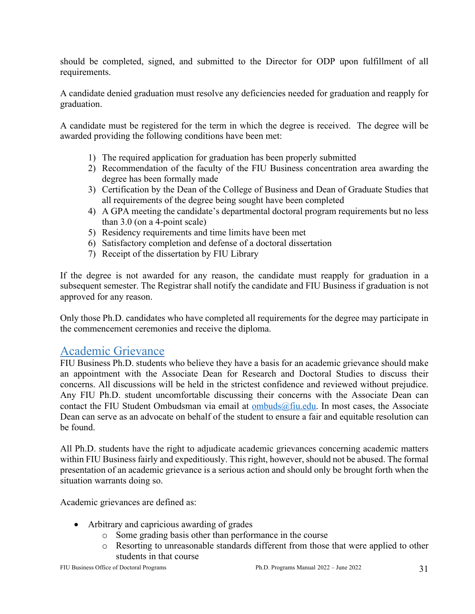should be completed, signed, and submitted to the Director for ODP upon fulfillment of all requirements.

A candidate denied graduation must resolve any deficiencies needed for graduation and reapply for graduation.

A candidate must be registered for the term in which the degree is received. The degree will be awarded providing the following conditions have been met:

- 1) The required application for graduation has been properly submitted
- 2) Recommendation of the faculty of the FIU Business concentration area awarding the degree has been formally made
- 3) Certification by the Dean of the College of Business and Dean of Graduate Studies that all requirements of the degree being sought have been completed
- 4) A GPA meeting the candidate's departmental doctoral program requirements but no less than 3.0 (on a 4-point scale)
- 5) Residency requirements and time limits have been met
- 6) Satisfactory completion and defense of a doctoral dissertation
- 7) Receipt of the dissertation by FIU Library

If the degree is not awarded for any reason, the candidate must reapply for graduation in a subsequent semester. The Registrar shall notify the candidate and FIU Business if graduation is not approved for any reason.

Only those Ph.D. candidates who have completed all requirements for the degree may participate in the commencement ceremonies and receive the diploma.

# Academic Grievance

FIU Business Ph.D. students who believe they have a basis for an academic grievance should make an appointment with the Associate Dean for Research and Doctoral Studies to discuss their concerns. All discussions will be held in the strictest confidence and reviewed without prejudice. Any FIU Ph.D. student uncomfortable discussing their concerns with the Associate Dean can contact the FIU Student Ombudsman via email at  $ombuds@fiu.edu$ . In most cases, the Associate Dean can serve as an advocate on behalf of the student to ensure a fair and equitable resolution can be found.

All Ph.D. students have the right to adjudicate academic grievances concerning academic matters within FIU Business fairly and expeditiously. This right, however, should not be abused. The formal presentation of an academic grievance is a serious action and should only be brought forth when the situation warrants doing so.

Academic grievances are defined as:

- Arbitrary and capricious awarding of grades
	- o Some grading basis other than performance in the course
	- o Resorting to unreasonable standards different from those that were applied to other students in that course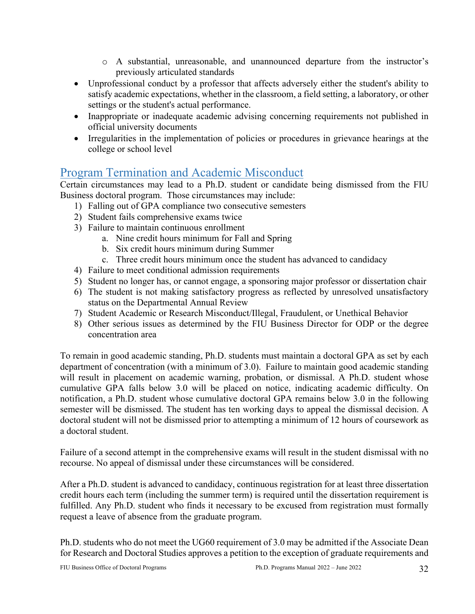- o A substantial, unreasonable, and unannounced departure from the instructor's previously articulated standards
- Unprofessional conduct by a professor that affects adversely either the student's ability to satisfy academic expectations, whether in the classroom, a field setting, a laboratory, or other settings or the student's actual performance.
- Inappropriate or inadequate academic advising concerning requirements not published in official university documents
- Irregularities in the implementation of policies or procedures in grievance hearings at the college or school level

# Program Termination and Academic Misconduct

Certain circumstances may lead to a Ph.D. student or candidate being dismissed from the FIU Business doctoral program. Those circumstances may include:

- 1) Falling out of GPA compliance two consecutive semesters
- 2) Student fails comprehensive exams twice
- 3) Failure to maintain continuous enrollment
	- a. Nine credit hours minimum for Fall and Spring
	- b. Six credit hours minimum during Summer
	- c. Three credit hours minimum once the student has advanced to candidacy
- 4) Failure to meet conditional admission requirements
- 5) Student no longer has, or cannot engage, a sponsoring major professor or dissertation chair
- 6) The student is not making satisfactory progress as reflected by unresolved unsatisfactory status on the Departmental Annual Review
- 7) Student Academic or Research Misconduct/Illegal, Fraudulent, or Unethical Behavior
- 8) Other serious issues as determined by the FIU Business Director for ODP or the degree concentration area

To remain in good academic standing, Ph.D. students must maintain a doctoral GPA as set by each department of concentration (with a minimum of 3.0). Failure to maintain good academic standing will result in placement on academic warning, probation, or dismissal. A Ph.D. student whose cumulative GPA falls below 3.0 will be placed on notice, indicating academic difficulty. On notification, a Ph.D. student whose cumulative doctoral GPA remains below 3.0 in the following semester will be dismissed. The student has ten working days to appeal the dismissal decision. A doctoral student will not be dismissed prior to attempting a minimum of 12 hours of coursework as a doctoral student.

Failure of a second attempt in the comprehensive exams will result in the student dismissal with no recourse. No appeal of dismissal under these circumstances will be considered.

After a Ph.D. student is advanced to candidacy, continuous registration for at least three dissertation credit hours each term (including the summer term) is required until the dissertation requirement is fulfilled. Any Ph.D. student who finds it necessary to be excused from registration must formally request a leave of absence from the graduate program.

Ph.D. students who do not meet the UG60 requirement of 3.0 may be admitted if the Associate Dean for Research and Doctoral Studies approves a petition to the exception of graduate requirements and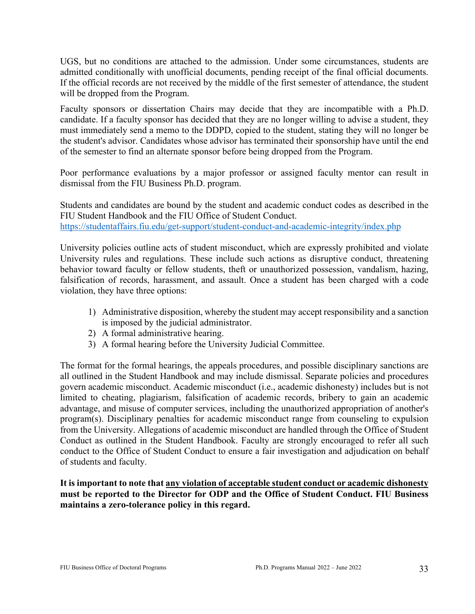UGS, but no conditions are attached to the admission. Under some circumstances, students are admitted conditionally with unofficial documents, pending receipt of the final official documents. If the official records are not received by the middle of the first semester of attendance, the student will be dropped from the Program.

Faculty sponsors or dissertation Chairs may decide that they are incompatible with a Ph.D. candidate. If a faculty sponsor has decided that they are no longer willing to advise a student, they must immediately send a memo to the DDPD, copied to the student, stating they will no longer be the student's advisor. Candidates whose advisor has terminated their sponsorship have until the end of the semester to find an alternate sponsor before being dropped from the Program.

Poor performance evaluations by a major professor or assigned faculty mentor can result in dismissal from the FIU Business Ph.D. program.

Students and candidates are bound by the student and academic conduct codes as described in the FIU Student Handbook and the FIU Office of Student Conduct. https://studentaffairs.fiu.edu/get-support/student-conduct-and-academic-integrity/index.php

University policies outline acts of student misconduct, which are expressly prohibited and violate University rules and regulations. These include such actions as disruptive conduct, threatening behavior toward faculty or fellow students, theft or unauthorized possession, vandalism, hazing, falsification of records, harassment, and assault. Once a student has been charged with a code violation, they have three options:

- 1) Administrative disposition, whereby the student may accept responsibility and a sanction is imposed by the judicial administrator.
- 2) A formal administrative hearing.
- 3) A formal hearing before the University Judicial Committee.

The format for the formal hearings, the appeals procedures, and possible disciplinary sanctions are all outlined in the Student Handbook and may include dismissal. Separate policies and procedures govern academic misconduct. Academic misconduct (i.e., academic dishonesty) includes but is not limited to cheating, plagiarism, falsification of academic records, bribery to gain an academic advantage, and misuse of computer services, including the unauthorized appropriation of another's program(s). Disciplinary penalties for academic misconduct range from counseling to expulsion from the University. Allegations of academic misconduct are handled through the Office of Student Conduct as outlined in the Student Handbook. Faculty are strongly encouraged to refer all such conduct to the Office of Student Conduct to ensure a fair investigation and adjudication on behalf of students and faculty.

**It is important to note that any violation of acceptable student conduct or academic dishonesty must be reported to the Director for ODP and the Office of Student Conduct. FIU Business maintains a zero-tolerance policy in this regard.**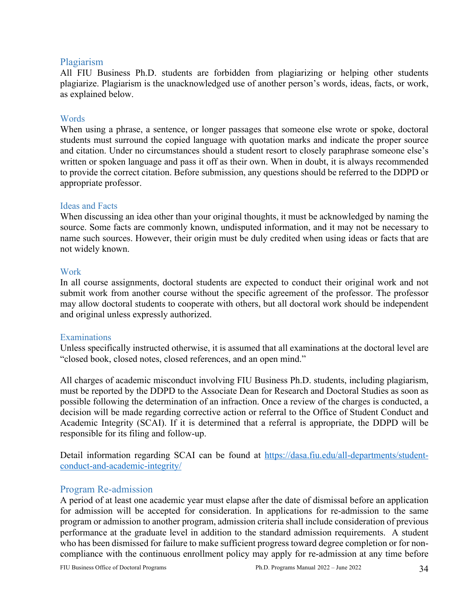#### Plagiarism

All FIU Business Ph.D. students are forbidden from plagiarizing or helping other students plagiarize. Plagiarism is the unacknowledged use of another person's words, ideas, facts, or work, as explained below.

#### **Words**

When using a phrase, a sentence, or longer passages that someone else wrote or spoke, doctoral students must surround the copied language with quotation marks and indicate the proper source and citation. Under no circumstances should a student resort to closely paraphrase someone else's written or spoken language and pass it off as their own. When in doubt, it is always recommended to provide the correct citation. Before submission, any questions should be referred to the DDPD or appropriate professor.

#### Ideas and Facts

When discussing an idea other than your original thoughts, it must be acknowledged by naming the source. Some facts are commonly known, undisputed information, and it may not be necessary to name such sources. However, their origin must be duly credited when using ideas or facts that are not widely known.

#### Work

In all course assignments, doctoral students are expected to conduct their original work and not submit work from another course without the specific agreement of the professor. The professor may allow doctoral students to cooperate with others, but all doctoral work should be independent and original unless expressly authorized.

#### Examinations

Unless specifically instructed otherwise, it is assumed that all examinations at the doctoral level are "closed book, closed notes, closed references, and an open mind."

All charges of academic misconduct involving FIU Business Ph.D. students, including plagiarism, must be reported by the DDPD to the Associate Dean for Research and Doctoral Studies as soon as possible following the determination of an infraction. Once a review of the charges is conducted, a decision will be made regarding corrective action or referral to the Office of Student Conduct and Academic Integrity (SCAI). If it is determined that a referral is appropriate, the DDPD will be responsible for its filing and follow-up.

Detail information regarding SCAI can be found at https://dasa.fiu.edu/all-departments/studentconduct-and-academic-integrity/

#### Program Re-admission

A period of at least one academic year must elapse after the date of dismissal before an application for admission will be accepted for consideration. In applications for re-admission to the same program or admission to another program, admission criteria shall include consideration of previous performance at the graduate level in addition to the standard admission requirements. A student who has been dismissed for failure to make sufficient progress toward degree completion or for noncompliance with the continuous enrollment policy may apply for re-admission at any time before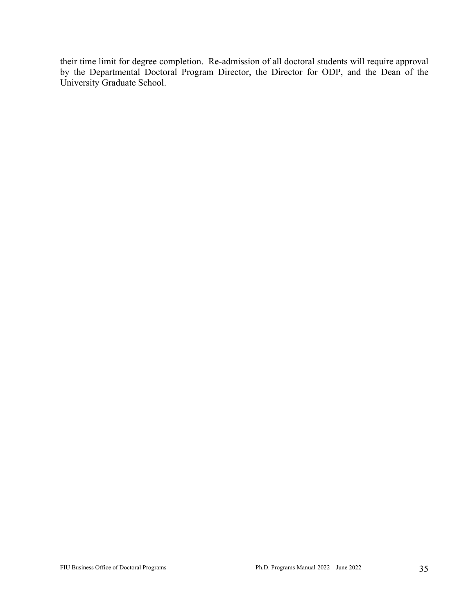their time limit for degree completion. Re-admission of all doctoral students will require approval by the Departmental Doctoral Program Director, the Director for ODP, and the Dean of the University Graduate School.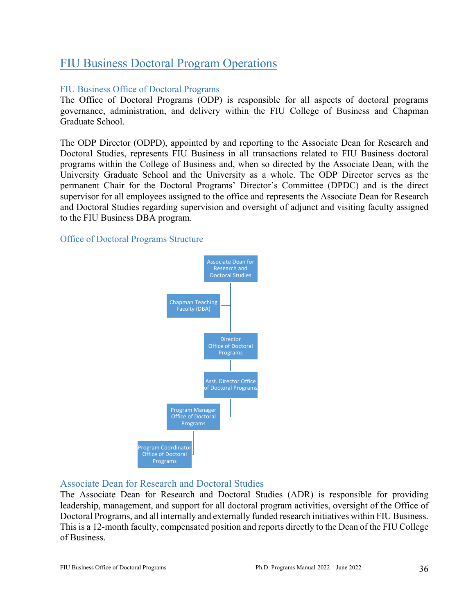# FIU Business Doctoral Program Operations

## FIU Business Office of Doctoral Programs

The Office of Doctoral Programs (ODP) is responsible for all aspects of doctoral programs governance, administration, and delivery within the FIU College of Business and Chapman Graduate School.

The ODP Director (ODPD), appointed by and reporting to the Associate Dean for Research and Doctoral Studies, represents FIU Business in all transactions related to FIU Business doctoral programs within the College of Business and, when so directed by the Associate Dean, with the University Graduate School and the University as a whole. The ODP Director serves as the permanent Chair for the Doctoral Programs' Director's Committee (DPDC) and is the direct supervisor for all employees assigned to the office and represents the Associate Dean for Research and Doctoral Studies regarding supervision and oversight of adjunct and visiting faculty assigned to the FIU Business DBA program.

### Office of Doctoral Programs Structure



### Associate Dean for Research and Doctoral Studies

The Associate Dean for Research and Doctoral Studies (ADR) is responsible for providing leadership, management, and support for all doctoral program activities, oversight of the Office of Doctoral Programs, and all internally and externally funded research initiatives within FIU Business. This is a 12-month faculty, compensated position and reports directly to the Dean of the FIU College of Business.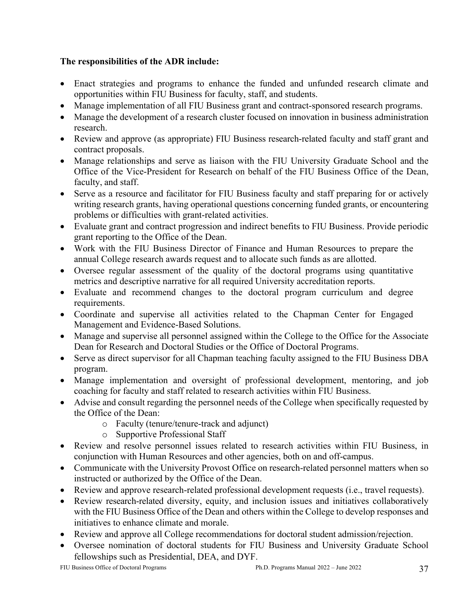### **The responsibilities of the ADR include:**

- Enact strategies and programs to enhance the funded and unfunded research climate and opportunities within FIU Business for faculty, staff, and students.
- Manage implementation of all FIU Business grant and contract-sponsored research programs.
- Manage the development of a research cluster focused on innovation in business administration research.
- Review and approve (as appropriate) FIU Business research-related faculty and staff grant and contract proposals.
- Manage relationships and serve as liaison with the FIU University Graduate School and the Office of the Vice-President for Research on behalf of the FIU Business Office of the Dean, faculty, and staff.
- Serve as a resource and facilitator for FIU Business faculty and staff preparing for or actively writing research grants, having operational questions concerning funded grants, or encountering problems or difficulties with grant-related activities.
- Evaluate grant and contract progression and indirect benefits to FIU Business. Provide periodic grant reporting to the Office of the Dean.
- Work with the FIU Business Director of Finance and Human Resources to prepare the annual College research awards request and to allocate such funds as are allotted.
- Oversee regular assessment of the quality of the doctoral programs using quantitative metrics and descriptive narrative for all required University accreditation reports.
- Evaluate and recommend changes to the doctoral program curriculum and degree requirements.
- Coordinate and supervise all activities related to the Chapman Center for Engaged Management and Evidence-Based Solutions.
- Manage and supervise all personnel assigned within the College to the Office for the Associate Dean for Research and Doctoral Studies or the Office of Doctoral Programs.
- Serve as direct supervisor for all Chapman teaching faculty assigned to the FIU Business DBA program.
- Manage implementation and oversight of professional development, mentoring, and job coaching for faculty and staff related to research activities within FIU Business.
- Advise and consult regarding the personnel needs of the College when specifically requested by the Office of the Dean:
	- o Faculty (tenure/tenure-track and adjunct)
	- o Supportive Professional Staff
- Review and resolve personnel issues related to research activities within FIU Business, in conjunction with Human Resources and other agencies, both on and off-campus.
- Communicate with the University Provost Office on research-related personnel matters when so instructed or authorized by the Office of the Dean.
- Review and approve research-related professional development requests (i.e., travel requests).
- Review research-related diversity, equity, and inclusion issues and initiatives collaboratively with the FIU Business Office of the Dean and others within the College to develop responses and initiatives to enhance climate and morale.
- Review and approve all College recommendations for doctoral student admission/rejection.
- Oversee nomination of doctoral students for FIU Business and University Graduate School fellowships such as Presidential, DEA, and DYF.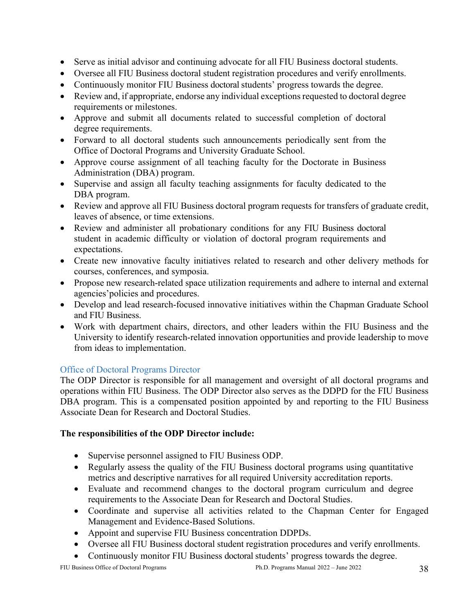- Serve as initial advisor and continuing advocate for all FIU Business doctoral students.
- Oversee all FIU Business doctoral student registration procedures and verify enrollments.
- Continuously monitor FIU Business doctoral students' progress towards the degree.
- Review and, if appropriate, endorse any individual exceptions requested to doctoral degree requirements or milestones.
- Approve and submit all documents related to successful completion of doctoral degree requirements.
- Forward to all doctoral students such announcements periodically sent from the Office of Doctoral Programs and University Graduate School.
- Approve course assignment of all teaching faculty for the Doctorate in Business Administration (DBA) program.
- Supervise and assign all faculty teaching assignments for faculty dedicated to the DBA program.
- Review and approve all FIU Business doctoral program requests for transfers of graduate credit, leaves of absence, or time extensions.
- Review and administer all probationary conditions for any FIU Business doctoral student in academic difficulty or violation of doctoral program requirements and expectations.
- Create new innovative faculty initiatives related to research and other delivery methods for courses, conferences, and symposia.
- Propose new research-related space utilization requirements and adhere to internal and external agencies'policies and procedures.
- Develop and lead research-focused innovative initiatives within the Chapman Graduate School and FIU Business.
- Work with department chairs, directors, and other leaders within the FIU Business and the University to identify research-related innovation opportunities and provide leadership to move from ideas to implementation.

### Office of Doctoral Programs Director

The ODP Director is responsible for all management and oversight of all doctoral programs and operations within FIU Business. The ODP Director also serves as the DDPD for the FIU Business DBA program. This is a compensated position appointed by and reporting to the FIU Business Associate Dean for Research and Doctoral Studies.

### **The responsibilities of the ODP Director include:**

- Supervise personnel assigned to FIU Business ODP.
- Regularly assess the quality of the FIU Business doctoral programs using quantitative metrics and descriptive narratives for all required University accreditation reports.
- Evaluate and recommend changes to the doctoral program curriculum and degree requirements to the Associate Dean for Research and Doctoral Studies.
- Coordinate and supervise all activities related to the Chapman Center for Engaged Management and Evidence-Based Solutions.
- Appoint and supervise FIU Business concentration DDPDs.
- Oversee all FIU Business doctoral student registration procedures and verify enrollments.
- Continuously monitor FIU Business doctoral students' progress towards the degree.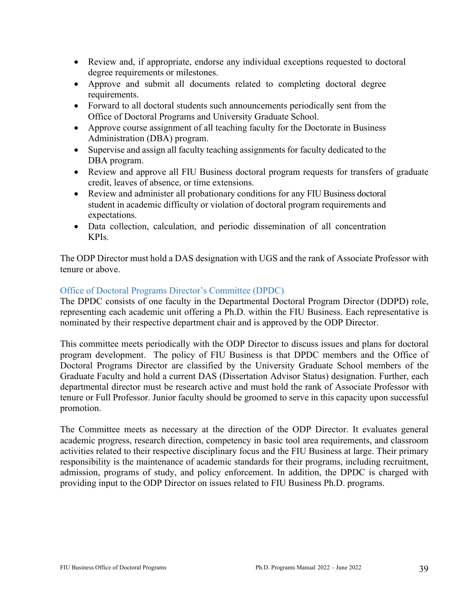- Review and, if appropriate, endorse any individual exceptions requested to doctoral degree requirements or milestones.
- Approve and submit all documents related to completing doctoral degree requirements.
- Forward to all doctoral students such announcements periodically sent from the Office of Doctoral Programs and University Graduate School.
- Approve course assignment of all teaching faculty for the Doctorate in Business Administration (DBA) program.
- Supervise and assign all faculty teaching assignments for faculty dedicated to the DBA program.
- Review and approve all FIU Business doctoral program requests for transfers of graduate credit, leaves of absence, or time extensions.
- Review and administer all probationary conditions for any FIU Business doctoral student in academic difficulty or violation of doctoral program requirements and expectations.
- Data collection, calculation, and periodic dissemination of all concentration KPIs.

The ODP Director must hold a DAS designation with UGS and the rank of Associate Professor with tenure or above.

### Office of Doctoral Programs Director's Committee (DPDC)

The DPDC consists of one faculty in the Departmental Doctoral Program Director (DDPD) role, representing each academic unit offering a Ph.D. within the FIU Business. Each representative is nominated by their respective department chair and is approved by the ODP Director.

This committee meets periodically with the ODP Director to discuss issues and plans for doctoral program development. The policy of FIU Business is that DPDC members and the Office of Doctoral Programs Director are classified by the University Graduate School members of the Graduate Faculty and hold a current DAS (Dissertation Advisor Status) designation. Further, each departmental director must be research active and must hold the rank of Associate Professor with tenure or Full Professor. Junior faculty should be groomed to serve in this capacity upon successful promotion.

The Committee meets as necessary at the direction of the ODP Director. It evaluates general academic progress, research direction, competency in basic tool area requirements, and classroom activities related to their respective disciplinary focus and the FIU Business at large. Their primary responsibility is the maintenance of academic standards for their programs, including recruitment, admission, programs of study, and policy enforcement. In addition, the DPDC is charged with providing input to the ODP Director on issues related to FIU Business Ph.D. programs.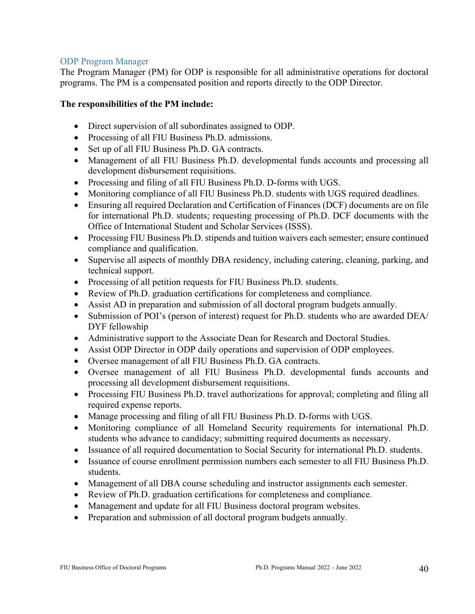#### ODP Program Manager

The Program Manager (PM) for ODP is responsible for all administrative operations for doctoral programs. The PM is a compensated position and reports directly to the ODP Director.

#### **The responsibilities of the PM include:**

- Direct supervision of all subordinates assigned to ODP.
- Processing of all FIU Business Ph.D. admissions.
- Set up of all FIU Business Ph.D. GA contracts.
- Management of all FIU Business Ph.D. developmental funds accounts and processing all development disbursement requisitions.
- Processing and filing of all FIU Business Ph.D. D-forms with UGS.
- Monitoring compliance of all FIU Business Ph.D. students with UGS required deadlines.
- Ensuring all required Declaration and Certification of Finances (DCF) documents are on file for international Ph.D. students; requesting processing of Ph.D. DCF documents with the Office of International Student and Scholar Services (ISSS).
- Processing FIU Business Ph.D. stipends and tuition waivers each semester; ensure continued compliance and qualification.
- Supervise all aspects of monthly DBA residency, including catering, cleaning, parking, and technical support.
- Processing of all petition requests for FIU Business Ph.D. students.
- Review of Ph.D. graduation certifications for completeness and compliance.
- Assist AD in preparation and submission of all doctoral program budgets annually.
- Submission of POI's (person of interest) request for Ph.D. students who are awarded DEA/ DYF fellowship
- Administrative support to the Associate Dean for Research and Doctoral Studies.
- Assist ODP Director in ODP daily operations and supervision of ODP employees.
- Oversee management of all FIU Business Ph.D. GA contracts.
- Oversee management of all FIU Business Ph.D. developmental funds accounts and processing all development disbursement requisitions.
- Processing FIU Business Ph.D. travel authorizations for approval; completing and filing all required expense reports.
- Manage processing and filing of all FIU Business Ph.D. D-forms with UGS.
- Monitoring compliance of all Homeland Security requirements for international Ph.D. students who advance to candidacy; submitting required documents as necessary.
- Issuance of all required documentation to Social Security for international Ph.D. students.
- Issuance of course enrollment permission numbers each semester to all FIU Business Ph.D. students.
- Management of all DBA course scheduling and instructor assignments each semester.
- Review of Ph.D. graduation certifications for completeness and compliance.
- Management and update for all FIU Business doctoral program websites.
- Preparation and submission of all doctoral program budgets annually.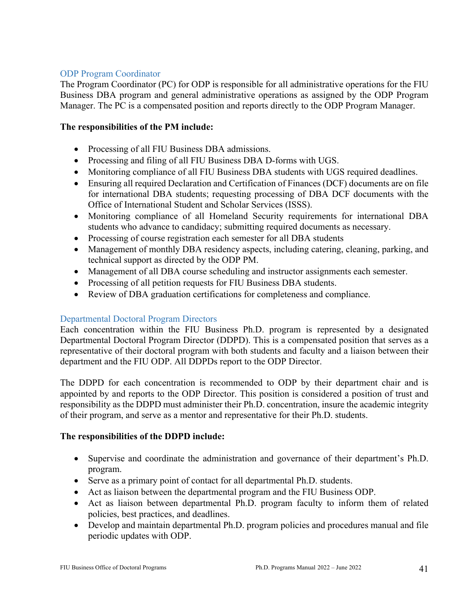#### ODP Program Coordinator

The Program Coordinator (PC) for ODP is responsible for all administrative operations for the FIU Business DBA program and general administrative operations as assigned by the ODP Program Manager. The PC is a compensated position and reports directly to the ODP Program Manager.

### **The responsibilities of the PM include:**

- Processing of all FIU Business DBA admissions.
- Processing and filing of all FIU Business DBA D-forms with UGS.
- Monitoring compliance of all FIU Business DBA students with UGS required deadlines.
- Ensuring all required Declaration and Certification of Finances (DCF) documents are on file for international DBA students; requesting processing of DBA DCF documents with the Office of International Student and Scholar Services (ISSS).
- Monitoring compliance of all Homeland Security requirements for international DBA students who advance to candidacy; submitting required documents as necessary.
- Processing of course registration each semester for all DBA students
- Management of monthly DBA residency aspects, including catering, cleaning, parking, and technical support as directed by the ODP PM.
- Management of all DBA course scheduling and instructor assignments each semester.
- Processing of all petition requests for FIU Business DBA students.
- Review of DBA graduation certifications for completeness and compliance.

### Departmental Doctoral Program Directors

Each concentration within the FIU Business Ph.D. program is represented by a designated Departmental Doctoral Program Director (DDPD). This is a compensated position that serves as a representative of their doctoral program with both students and faculty and a liaison between their department and the FIU ODP. All DDPDs report to the ODP Director.

The DDPD for each concentration is recommended to ODP by their department chair and is appointed by and reports to the ODP Director. This position is considered a position of trust and responsibility as the DDPD must administer their Ph.D. concentration, insure the academic integrity of their program, and serve as a mentor and representative for their Ph.D. students.

### **The responsibilities of the DDPD include:**

- Supervise and coordinate the administration and governance of their department's Ph.D. program.
- Serve as a primary point of contact for all departmental Ph.D. students.
- Act as liaison between the departmental program and the FIU Business ODP.
- Act as liaison between departmental Ph.D. program faculty to inform them of related policies, best practices, and deadlines.
- Develop and maintain departmental Ph.D. program policies and procedures manual and file periodic updates with ODP.